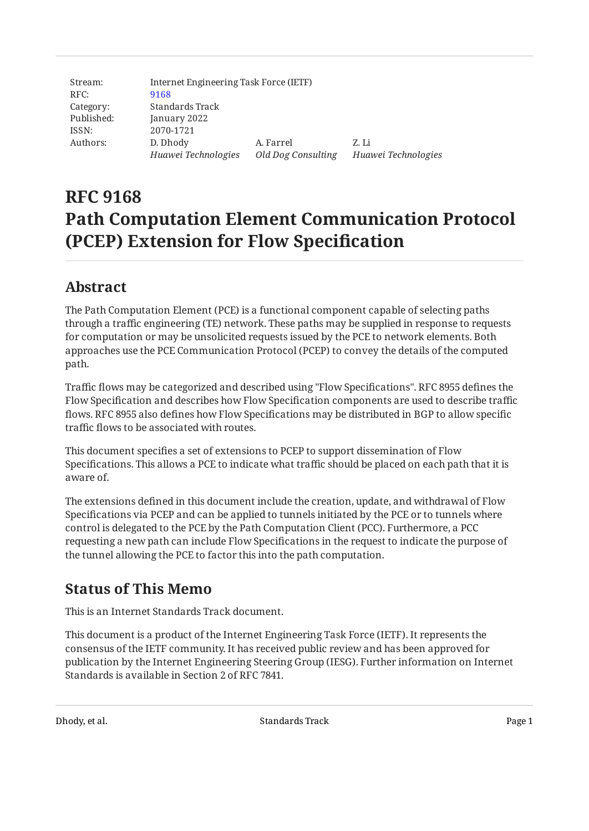| Stream:    | Internet Engineering Task Force (IETF) |                    |                     |  |
|------------|----------------------------------------|--------------------|---------------------|--|
| RFC:       | 9168                                   |                    |                     |  |
| Category:  | Standards Track                        |                    |                     |  |
| Published: | January 2022                           |                    |                     |  |
| ISSN:      | 2070-1721                              |                    |                     |  |
| Authors:   | D. Dhody                               | A. Farrel          | Z. Li               |  |
|            | Huawei Technologies                    | Old Dog Consulting | Huawei Technologies |  |

# **RFC 9168 Path Computation Element Communication Protocol (PCEP) Extension for Flow Specification**

# <span id="page-0-0"></span>**[Abstract](#page-0-0)**

The Path Computation Element (PCE) is a functional component capable of selecting paths through a traffic engineering (TE) network. These paths may be supplied in response to requests for computation or may be unsolicited requests issued by the PCE to network elements. Both approaches use the PCE Communication Protocol (PCEP) to convey the details of the computed path.

Traffic flows may be categorized and described using "Flow Specifications". RFC 8955 defines the Flow Specification and describes how Flow Specification components are used to describe traffic flows. RFC 8955 also defines how Flow Specifications may be distributed in BGP to allow specific traffic flows to be associated with routes.

This document specifies a set of extensions to PCEP to support dissemination of Flow Specifications. This allows a PCE to indicate what traffic should be placed on each path that it is aware of.

The extensions defined in this document include the creation, update, and withdrawal of Flow Specifications via PCEP and can be applied to tunnels initiated by the PCE or to tunnels where control is delegated to the PCE by the Path Computation Client (PCC). Furthermore, a PCC requesting a new path can include Flow Specifications in the request to indicate the purpose of the tunnel allowing the PCE to factor this into the path computation.

# <span id="page-0-1"></span>**[Status of This Memo](#page-0-1)**

This is an Internet Standards Track document.

This document is a product of the Internet Engineering Task Force (IETF). It represents the consensus of the IETF community. It has received public review and has been approved for publication by the Internet Engineering Steering Group (IESG). Further information on Internet Standards is available in Section 2 of RFC 7841.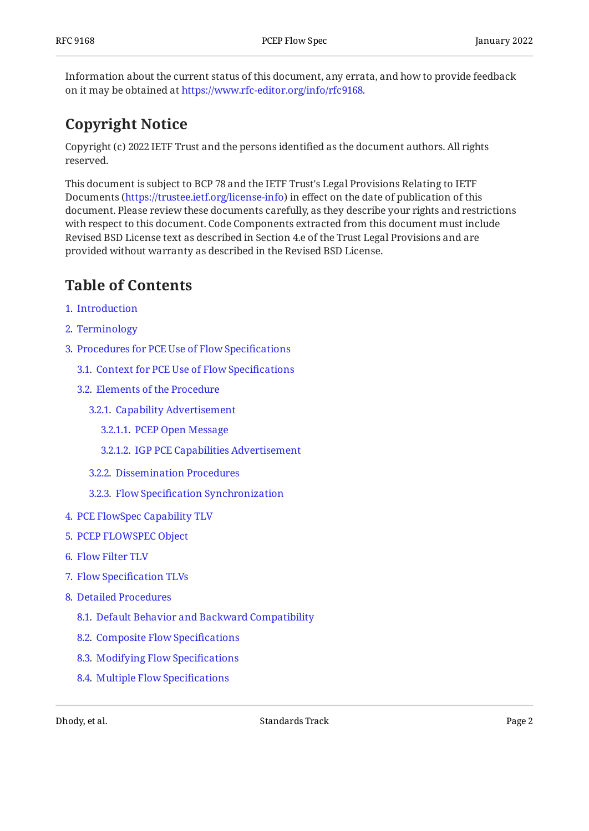Information about the current status of this document, any errata, and how to provide feedback on it may be obtained at [https://www.rfc-editor.org/info/rfc9168.](https://www.rfc-editor.org/info/rfc9168)

# <span id="page-1-0"></span>**[Copyright Notice](#page-1-0)**

Copyright (c) 2022 IETF Trust and the persons identified as the document authors. All rights reserved.

This document is subject to BCP 78 and the IETF Trust's Legal Provisions Relating to IETF Documents (<https://trustee.ietf.org/license-info>) in effect on the date of publication of this document. Please review these documents carefully, as they describe your rights and restrictions with respect to this document. Code Components extracted from this document must include Revised BSD License text as described in Section 4.e of the Trust Legal Provisions and are provided without warranty as described in the Revised BSD License.

# <span id="page-1-1"></span>**[Table of Contents](#page-1-1)**

- [1](#page-3-0). [Introduction](#page-3-0)
- [2](#page-4-0). [Terminology](#page-4-0)
- [3](#page-5-0). [Procedures for PCE Use of Flow Speci](#page-5-0)fications
	- [3.1.](#page-5-1) [Context for PCE Use of Flow Speci](#page-5-1)fications
	- [3.2.](#page-5-2) [Elements of the Procedure](#page-5-2)
		- [3.2.1](#page-6-0). [Capability Advertisement](#page-6-0)
			- [3.2.1.1.](#page-6-1) [PCEP Open Message](#page-6-1)
			- [3.2.1.2.](#page-6-2) [IGP PCE Capabilities Advertisement](#page-6-2)
		- [3.2.2](#page-6-3). [Dissemination Procedures](#page-6-3)
		- [3.2.3](#page-7-0). Flow Specifi[cation Synchronization](#page-7-0)
- [4](#page-8-0). [PCE FlowSpec Capability TLV](#page-8-0)
- [5](#page-8-1). [PCEP FLOWSPEC Object](#page-8-1)
- [6](#page-10-0). [Flow Filter TLV](#page-10-0)
- [7](#page-11-0). Flow Specifi[cation TLVs](#page-11-0)
- [8](#page-13-0). [Detailed Procedures](#page-13-0)
	- [8.1.](#page-13-1) [Default Behavior and Backward Compatibility](#page-13-1)
	- [8.2.](#page-14-0) [Composite Flow Speci](#page-14-0)fications
	- [8.3.](#page-14-1) [Modifying Flow Speci](#page-14-1)fications
	- [8.4.](#page-14-2) [Multiple Flow Speci](#page-14-2)fications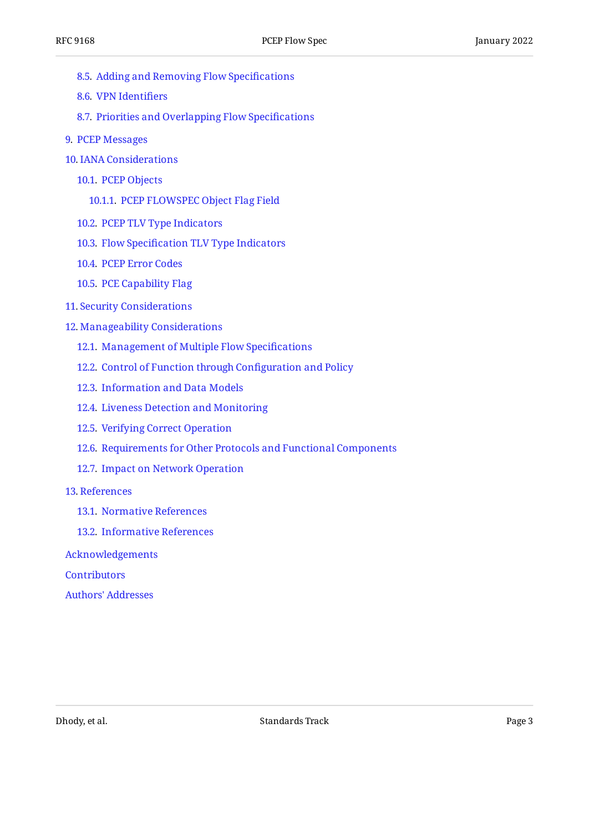- [8.5.](#page-14-3) [Adding and Removing Flow Speci](#page-14-3)fications
- [8.6.](#page-15-0) [VPN Identi](#page-15-0)fiers
- [8.7.](#page-15-1) [Priorities and Overlapping Flow Speci](#page-15-1)fications
- [9](#page-16-0). [PCEP Messages](#page-16-0)
- [10](#page-18-0). [IANA Considerations](#page-18-0)
	- [10.1.](#page-19-0) [PCEP Objects](#page-19-0)
		- [10.1.1.](#page-19-1) [PCEP FLOWSPEC Object Flag Field](#page-19-1)
	- [10.2.](#page-19-2) [PCEP TLV Type Indicators](#page-19-2)
	- [10.3.](#page-20-0) Flow Specifi[cation TLV Type Indicators](#page-20-0)
	- [10.4.](#page-20-1) [PCEP Error Codes](#page-20-1)
	- [10.5.](#page-21-0) [PCE Capability Flag](#page-21-0)
- [11](#page-21-1). [Security Considerations](#page-21-1)
- [12](#page-22-0). [Manageability Considerations](#page-22-0)
	- [12.1.](#page-22-1) [Management of Multiple Flow Speci](#page-22-1)fications
	- [12.2.](#page-23-0) [Control of Function through Con](#page-23-0)figuration and Policy
	- [12.3.](#page-23-1) [Information and Data Models](#page-23-1)
	- [12.4.](#page-23-2) [Liveness Detection and Monitoring](#page-23-2)
	- [12.5.](#page-23-3) [Verifying Correct Operation](#page-23-3)
	- [12.6.](#page-24-0) [Requirements for Other Protocols and Functional Components](#page-24-0)
	- [12.7.](#page-24-1) [Impact on Network Operation](#page-24-1)
- [13](#page-24-2). [References](#page-24-2)
	- [13.1.](#page-24-3) [Normative References](#page-24-3)
	- [13.2.](#page-25-0) [Informative References](#page-25-0)

[Acknowledgements](#page-26-0)

**[Contributors](#page-27-0)** 

[Authors' Addresses](#page-28-0)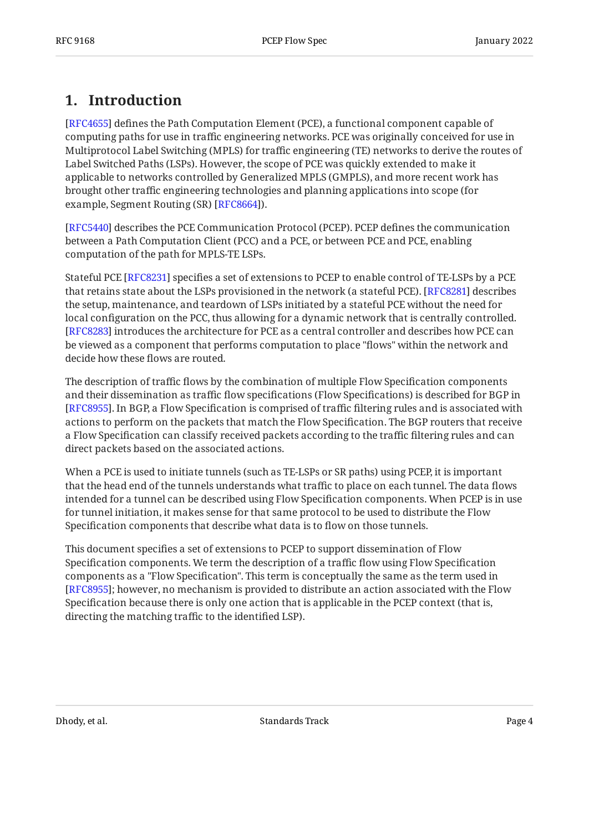# <span id="page-3-0"></span>**[1. Introduction](#page-3-0)**

[[RFC4655\]](#page-25-1) defines the Path Computation Element (PCE), a functional component capable of computing paths for use in traffic engineering networks. PCE was originally conceived for use in Multiprotocol Label Switching (MPLS) for traffic engineering (TE) networks to derive the routes of Label Switched Paths (LSPs). However, the scope of PCE was quickly extended to make it applicable to networks controlled by Generalized MPLS (GMPLS), and more recent work has brought other traffic engineering technologies and planning applications into scope (for example, Segment Routing (SR) [RFC8664]).

[[RFC5440\]](#page-24-4) describes the PCE Communication Protocol (PCEP). PCEP defines the communication between a Path Computation Client (PCC) and a PCE, or between PCE and PCE, enabling computation of the path for MPLS-TE LSPs.

Stateful PCE [RFC8231] specifies a set of extensions to PCEP to enable control of TE-LSPs by a PCE that retains state about the LSPs provisioned in the network (a stateful PCE). [RFC8281] describes  $\,$ the setup, maintenance, and teardown of LSPs initiated by a stateful PCE without the need for local configuration on the PCC, thus allowing for a dynamic network that is centrally controlled. [[RFC8283\]](#page-26-2) introduces the architecture for PCE as a central controller and describes how PCE can be viewed as a component that performs computation to place "flows" within the network and decide how these flows are routed.

The description of traffic flows by the combination of multiple Flow Specification components and their dissemination as traffic flow specifications (Flow Specifications) is described for BGP in [[RFC8955\]](#page-25-3). In BGP, a Flow Specification is comprised of traffic filtering rules and is associated with actions to perform on the packets that match the Flow Specification. The BGP routers that receive a Flow Specification can classify received packets according to the traffic filtering rules and can direct packets based on the associated actions.

When a PCE is used to initiate tunnels (such as TE-LSPs or SR paths) using PCEP, it is important that the head end of the tunnels understands what traffic to place on each tunnel. The data flows intended for a tunnel can be described using Flow Specification components. When PCEP is in use for tunnel initiation, it makes sense for that same protocol to be used to distribute the Flow Specification components that describe what data is to flow on those tunnels.

This document specifies a set of extensions to PCEP to support dissemination of Flow Specification components. We term the description of a traffic flow using Flow Specification components as a "Flow Specification". This term is conceptually the same as the term used in [[RFC8955\]](#page-25-3); however, no mechanism is provided to distribute an action associated with the Flow Specification because there is only one action that is applicable in the PCEP context (that is, directing the matching traffic to the identified LSP).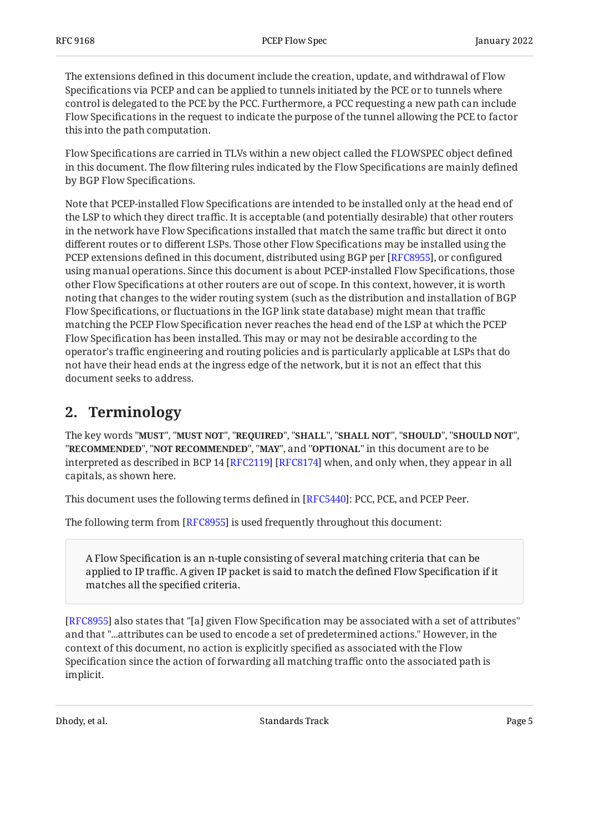The extensions defined in this document include the creation, update, and withdrawal of Flow Specifications via PCEP and can be applied to tunnels initiated by the PCE or to tunnels where control is delegated to the PCE by the PCC. Furthermore, a PCC requesting a new path can include Flow Specifications in the request to indicate the purpose of the tunnel allowing the PCE to factor this into the path computation.

Flow Specifications are carried in TLVs within a new object called the FLOWSPEC object defined in this document. The flow filtering rules indicated by the Flow Specifications are mainly defined by BGP Flow Specifications.

Note that PCEP-installed Flow Specifications are intended to be installed only at the head end of the LSP to which they direct traffic. It is acceptable (and potentially desirable) that other routers in the network have Flow Specifications installed that match the same traffic but direct it onto different routes or to different LSPs. Those other Flow Specifications may be installed using the PCEP extensions defined in this document, distributed using BGP per [\[RFC8955\]](#page-25-3), or configured using manual operations. Since this document is about PCEP-installed Flow Specifications, those other Flow Specifications at other routers are out of scope. In this context, however, it is worth noting that changes to the wider routing system (such as the distribution and installation of BGP Flow Specifications, or fluctuations in the IGP link state database) might mean that traffic matching the PCEP Flow Specification never reaches the head end of the LSP at which the PCEP Flow Specification has been installed. This may or may not be desirable according to the operator's traffic engineering and routing policies and is particularly applicable at LSPs that do not have their head ends at the ingress edge of the network, but it is not an effect that this document seeks to address.

## <span id="page-4-0"></span>**[2. Terminology](#page-4-0)**

The key words "MUST", "MUST NOT", "REQUIRED", "SHALL", "SHALL NOT", "SHOULD", "SHOULD NOT", "**RECOMMENDED", "NOT RECOMMENDED", "MAY",** and "OPTIONAL" in this document are to be interpreted as described in BCP 14 [RFC2119] [RFC8174] when, and only when, they appear in all capitals, as shown here.

This document uses the following terms defined in [[RFC5440\]](#page-24-4): PCC, PCE, and PCEP Peer.  $\,$ 

The following term from [RFC8955] is used frequently throughout this document:

A Flow Specification is an n-tuple consisting of several matching criteria that can be applied to IP traffic. A given IP packet is said to match the defined Flow Specification if it matches all the specified criteria.

[[RFC8955\]](#page-25-3) also states that "[a] given Flow Specification may be associated with a set of attributes"  $\,$ and that "...attributes can be used to encode a set of predetermined actions." However, in the context of this document, no action is explicitly specified as associated with the Flow Specification since the action of forwarding all matching traffic onto the associated path is implicit.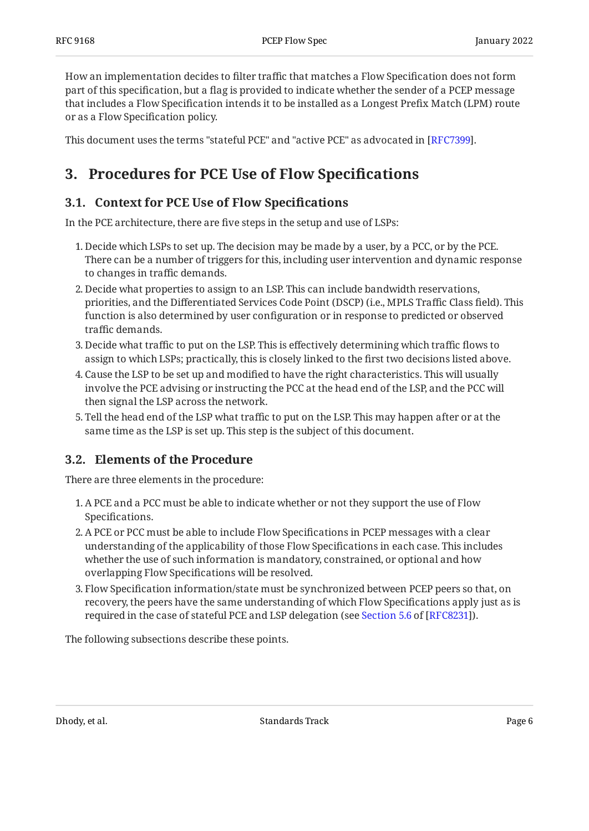How an implementation decides to filter traffic that matches a Flow Specification does not form part of this specification, but a flag is provided to indicate whether the sender of a PCEP message that includes a Flow Specification intends it to be installed as a Longest Prefix Match (LPM) route or as a Flow Specification policy.

<span id="page-5-0"></span>This document uses the terms "stateful PCE" and "active PCE" as advocated in [RFC7399].

# <span id="page-5-1"></span>**[3. Procedures for PCE Use of Flow Speci](#page-5-0)fications**

### **[3.1. Context for PCE Use of Flow Speci](#page-5-1)fications**

In the PCE architecture, there are five steps in the setup and use of LSPs:

- 1. Decide which LSPs to set up. The decision may be made by a user, by a PCC, or by the PCE. There can be a number of triggers for this, including user intervention and dynamic response to changes in traffic demands.
- Decide what properties to assign to an LSP. This can include bandwidth reservations, 2. priorities, and the Differentiated Services Code Point (DSCP) (i.e., MPLS Traffic Class field). This function is also determined by user configuration or in response to predicted or observed traffic demands.
- 3. Decide what traffic to put on the LSP. This is effectively determining which traffic flows to assign to which LSPs; practically, this is closely linked to the first two decisions listed above.
- Cause the LSP to be set up and modified to have the right characteristics. This will usually 4. involve the PCE advising or instructing the PCC at the head end of the LSP, and the PCC will then signal the LSP across the network.
- Tell the head end of the LSP what traffic to put on the LSP. This may happen after or at the 5. same time as the LSP is set up. This step is the subject of this document.

### <span id="page-5-2"></span>**[3.2. Elements of the Procedure](#page-5-2)**

There are three elements in the procedure:

- A PCE and a PCC must be able to indicate whether or not they support the use of Flow 1. Specifications.
- A PCE or PCC must be able to include Flow Specifications in PCEP messages with a clear 2. understanding of the applicability of those Flow Specifications in each case. This includes whether the use of such information is mandatory, constrained, or optional and how overlapping Flow Specifications will be resolved.
- Flow Specification information/state must be synchronized between PCEP peers so that, on 3. recovery, the peers have the same understanding of which Flow Specifications apply just as is requiredin the case of stateful PCE and LSP delegation (see Section 5.6 of [RFC8231]).

The following subsections describe these points.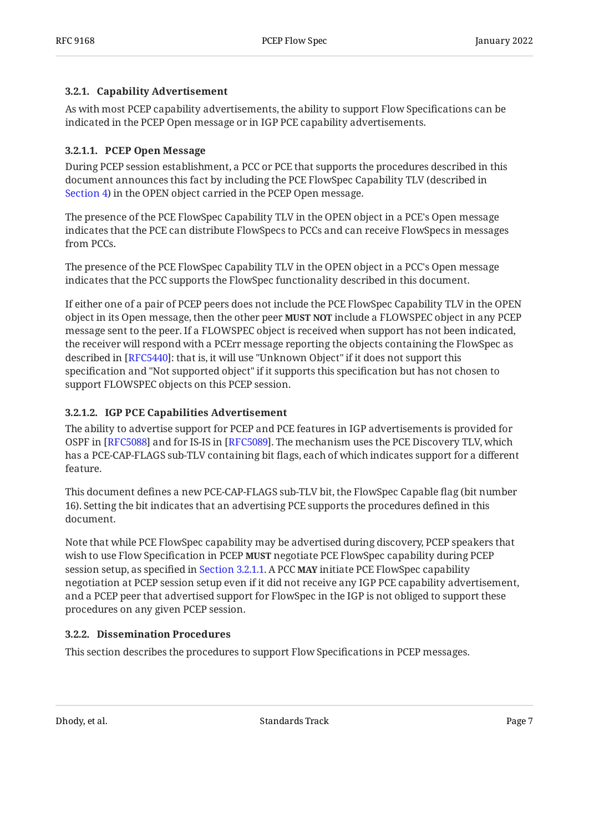#### <span id="page-6-0"></span>**[3.2.1. Capability Advertisement](#page-6-0)**

As with most PCEP capability advertisements, the ability to support Flow Specifications can be indicated in the PCEP Open message or in IGP PCE capability advertisements.

#### <span id="page-6-1"></span>**[3.2.1.1. PCEP Open Message](#page-6-1)**

During PCEP session establishment, a PCC or PCE that supports the procedures described in this document announces this fact by including the PCE FlowSpec Capability TLV (described in [Section 4\)](#page-8-0) in the OPEN object carried in the PCEP Open message.

The presence of the PCE FlowSpec Capability TLV in the OPEN object in a PCE's Open message indicates that the PCE can distribute FlowSpecs to PCCs and can receive FlowSpecs in messages from PCCs.

The presence of the PCE FlowSpec Capability TLV in the OPEN object in a PCC's Open message indicates that the PCC supports the FlowSpec functionality described in this document.

If either one of a pair of PCEP peers does not include the PCE FlowSpec Capability TLV in the OPEN object in its Open message, then the other peer **MUST NOT** include a FLOWSPEC object in any PCEP message sent to the peer. If a FLOWSPEC object is received when support has not been indicated, the receiver will respond with a PCErr message reporting the objects containing the FlowSpec as described in [RFC5440]: that is, it will use "Unknown Object" if it does not support this specification and "Not supported object" if it supports this specification but has not chosen to support FLOWSPEC objects on this PCEP session.

#### <span id="page-6-2"></span>**[3.2.1.2. IGP PCE Capabilities Advertisement](#page-6-2)**

The ability to advertise support for PCEP and PCE features in IGP advertisements is provided for OSPF in [[RFC5088\]](#page-25-4) and for IS-IS in [[RFC5089\]](#page-26-4). The mechanism uses the PCE Discovery TLV, which has a PCE-CAP-FLAGS sub-TLV containing bit flags, each of which indicates support for a different feature.

This document defines a new PCE-CAP-FLAGS sub-TLV bit, the FlowSpec Capable flag (bit number 16). Setting the bit indicates that an advertising PCE supports the procedures defined in this document.

Note that while PCE FlowSpec capability may be advertised during discovery, PCEP speakers that wish to use Flow Specification in PCEP **MUST** negotiate PCE FlowSpec capability during PCEP session setup, as specified in [Section 3.2.1.1.](#page-6-1) A PCC **MAY** initiate PCE FlowSpec capability negotiation at PCEP session setup even if it did not receive any IGP PCE capability advertisement, and a PCEP peer that advertised support for FlowSpec in the IGP is not obliged to support these procedures on any given PCEP session.

#### <span id="page-6-3"></span>**[3.2.2. Dissemination Procedures](#page-6-3)**

This section describes the procedures to support Flow Specifications in PCEP messages.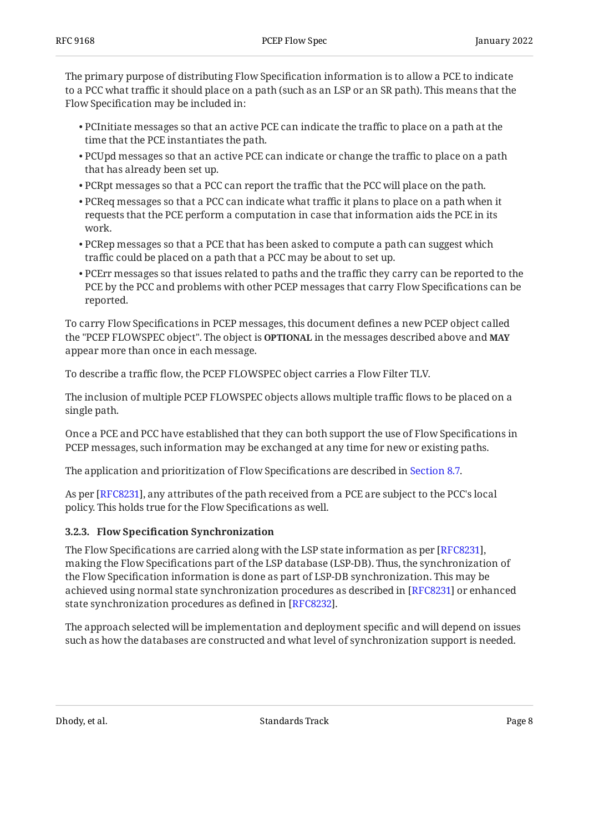The primary purpose of distributing Flow Specification information is to allow a PCE to indicate to a PCC what traffic it should place on a path (such as an LSP or an SR path). This means that the Flow Specification may be included in:

- $\bullet$  PCInitiate messages so that an active PCE can indicate the traffic to place on a path at the time that the PCE instantiates the path.
- $\bullet$  PCUpd messages so that an active PCE can indicate or change the traffic to place on a path that has already been set up.
- $\bullet$  PCRpt messages so that a PCC can report the traffic that the PCC will place on the path.
- $\bullet$  PCReq messages so that a PCC can indicate what traffic it plans to place on a path when it requests that the PCE perform a computation in case that information aids the PCE in its work.
- $\bullet$  PCRep messages so that a PCE that has been asked to compute a path can suggest which traffic could be placed on a path that a PCC may be about to set up.
- $\bullet$  PCErr messages so that issues related to paths and the traffic they carry can be reported to the PCE by the PCC and problems with other PCEP messages that carry Flow Specifications can be reported.

To carry Flow Specifications in PCEP messages, this document defines a new PCEP object called the "PCEP FLOWSPEC object". The object is **OPTIONAL** in the messages described above and **MAY** appear more than once in each message.

To describe a traffic flow, the PCEP FLOWSPEC object carries a Flow Filter TLV.

The inclusion of multiple PCEP FLOWSPEC objects allows multiple traffic flows to be placed on a single path.

Once a PCE and PCC have established that they can both support the use of Flow Specifications in PCEP messages, such information may be exchanged at any time for new or existing paths.

The application and prioritization of Flow Specifications are described in [Section 8.7.](#page-15-1)

As per [RFC8231], any attributes of the path received from a PCE are subject to the PCC's local policy. This holds true for the Flow Specifications as well.

#### <span id="page-7-0"></span>**[3.2.3. F](#page-7-0)low Specifi[cation Synchronization](#page-7-0)**

The Flow Specifications are carried along with the LSP state information as per [\[RFC8231](#page-24-5)], making the Flow Specifications part of the LSP database (LSP-DB). Thus, the synchronization of the Flow Specification information is done as part of LSP-DB synchronization. This may be achieved using normal state synchronization procedures as described in [RFC8231] or enhanced state synchronization procedures as defined in [RFC8232].

The approach selected will be implementation and deployment specific and will depend on issues such as how the databases are constructed and what level of synchronization support is needed.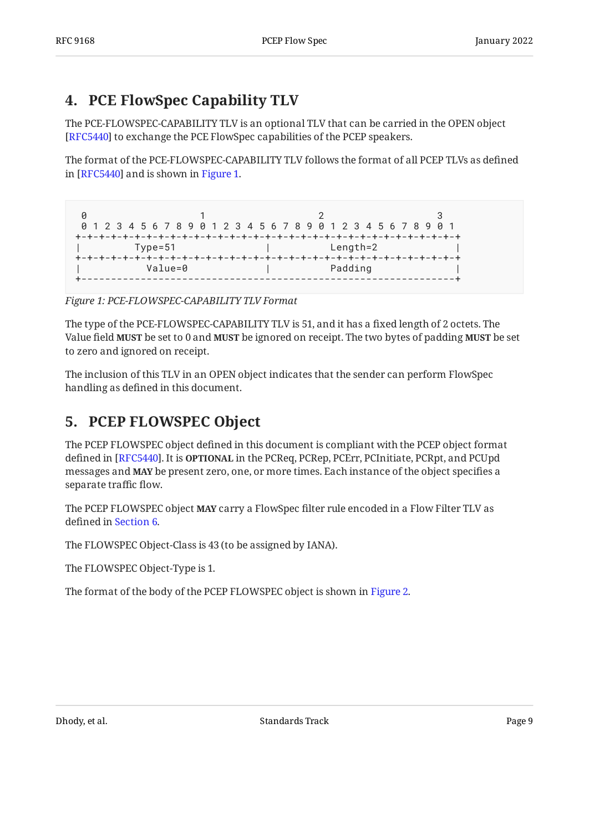# <span id="page-8-0"></span>**[4. PCE FlowSpec Capability TLV](#page-8-0)**

The PCE-FLOWSPEC-CAPABILITY TLV is an optional TLV that can be carried in the OPEN object [[RFC5440\]](#page-24-4) to exchange the PCE FlowSpec capabilities of the PCEP speakers.

The format of the PCE-FLOWSPEC-CAPABILITY TLV follows the format of all PCEP TLVs as defined in [RFC5440] and is shown in [Figure 1.](#page-8-2)

```
0 1 2 3
 0 1 2 3 4 5 6 7 8 9 0 1 2 3 4 5 6 7 8 9 0 1 2 3 4 5 6 7 8 9 0 1
+-+-+-+-+-+-+-+-+-+-+-+-+-+-+-+-+-+-+-+-+-+-+-+-+-+-+-+-+-+-+-+-+
      | Type=51 | Length=2 |
+-+-+-+-+-+-+-+-+-+-+-+-+-+-+-+-+-+-+-+-+-+-+-+-+-+-+-+-+-+-+-+-+
                 | Value=0 | Padding |
+---------------------------------------------------------------+
```
*[Figure 1: PCE-FLOWSPEC-CAPABILITY TLV Format](#page-8-2)* 

The type of the PCE-FLOWSPEC-CAPABILITY TLV is 51, and it has a fixed length of 2 octets. The Value field **MUST** be set to 0 and **MUST** be ignored on receipt. The two bytes of padding **MUST** be set to zero and ignored on receipt.

<span id="page-8-1"></span>The inclusion of this TLV in an OPEN object indicates that the sender can perform FlowSpec handling as defined in this document.

# **[5. PCEP FLOWSPEC Object](#page-8-1)**

The PCEP FLOWSPEC object defined in this document is compliant with the PCEP object format defined in [RFC5440]. It is **OPTIONAL** in the PCReq, PCRep, PCErr, PCInitiate, PCRpt, and PCUpd messages and **MAY** be present zero, one, or more times. Each instance of the object specifies a separate traffic flow.

The PCEP FLOWSPEC object **MAY** carry a FlowSpec filter rule encoded in a Flow Filter TLV as defined in [Section 6.](#page-10-0)

The FLOWSPEC Object-Class is 43 (to be assigned by IANA).

The FLOWSPEC Object-Type is 1.

<span id="page-8-3"></span>The format of the body of the PCEP FLOWSPEC object is shown in [Figure 2.](#page-9-0)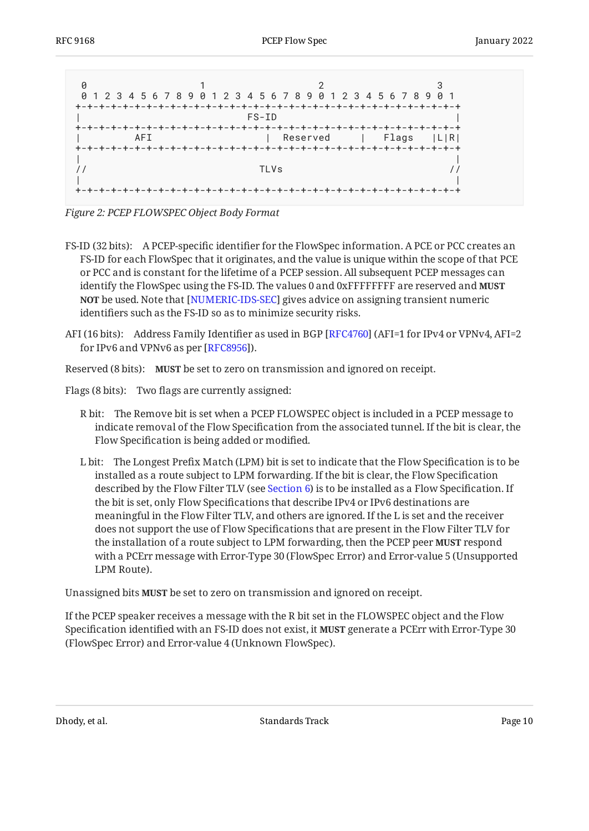<span id="page-9-0"></span>

*[Figure 2:](#page-9-0) [PCEP FLOWSPEC Object Body Format](#page-8-3)* 

- FS-ID (32 bits): A PCEP-specific identifier for the FlowSpec information. A PCE or PCC creates an FS-ID for each FlowSpec that it originates, and the value is unique within the scope of that PCE or PCC and is constant for the lifetime of a PCEP session. All subsequent PCEP messages can identify the FlowSpec using the FS-ID. The values 0 and 0xFFFFFFFF are reserved and **MUST NOT** be used. Note that [NUMERIC-IDS-SEC] gives advice on assigning transient numeric identifiers such as the FS-ID so as to minimize security risks.
- AFI (16 bits): Address Family Identifier as used in BGP [\[RFC4760](#page-24-8)] (AFI=1 for IPv4 or VPNv4, AFI=2 for IPv6 and VPNv6 as per [[RFC8956\]](#page-25-7)).

Reserved (8 bits): MUST be set to zero on transmission and ignored on receipt.

Flags (8 bits): Two flags are currently assigned:

- R bit: The Remove bit is set when a PCEP FLOWSPEC object is included in a PCEP message to indicate removal of the Flow Specification from the associated tunnel. If the bit is clear, the Flow Specification is being added or modified.
- L bit: The Longest Prefix Match (LPM) bit is set to indicate that the Flow Specification is to be installed as a route subject to LPM forwarding. If the bit is clear, the Flow Specification described by the Flow Filter TLV (see [Section 6\)](#page-10-0) is to be installed as a Flow Specification. If the bit is set, only Flow Specifications that describe IPv4 or IPv6 destinations are meaningful in the Flow Filter TLV, and others are ignored. If the L is set and the receiver does not support the use of Flow Specifications that are present in the Flow Filter TLV for the installation of a route subject to LPM forwarding, then the PCEP peer **MUST** respond with a PCErr message with Error-Type 30 (FlowSpec Error) and Error-value 5 (Unsupported LPM Route).

Unassigned bits MUST be set to zero on transmission and ignored on receipt.

If the PCEP speaker receives a message with the R bit set in the FLOWSPEC object and the Flow Specification identified with an FS-ID does not exist, it **MUST** generate a PCErr with Error-Type 30 (FlowSpec Error) and Error-value 4 (Unknown FlowSpec).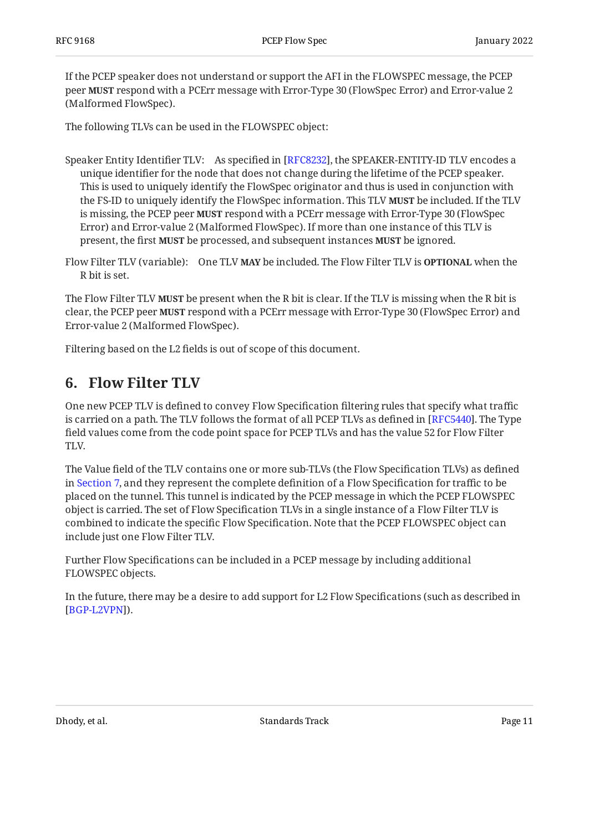If the PCEP speaker does not understand or support the AFI in the FLOWSPEC message, the PCEP peer **MUST** respond with a PCErr message with Error-Type 30 (FlowSpec Error) and Error-value 2 (Malformed FlowSpec).

The following TLVs can be used in the FLOWSPEC object:

- Speaker Entity Identifier TLV: As specified in [RFC8232], the SPEAKER-ENTITY-ID TLV encodes a unique identifier for the node that does not change during the lifetime of the PCEP speaker. This is used to uniquely identify the FlowSpec originator and thus is used in conjunction with the FS-ID to uniquely identify the FlowSpec information. This TLV **MUST** be included. If the TLV is missing, the PCEP peer **MUST** respond with a PCErr message with Error-Type 30 (FlowSpec Error) and Error-value 2 (Malformed FlowSpec). If more than one instance of this TLV is present, the first MUST be processed, and subsequent instances MUST be ignored.
- Flow Filter TLV (variable): One TLV **MAY** be included. The Flow Filter TLV is **OPTIONAL** when the R bit is set.

The Flow Filter TLV **MUST** be present when the R bit is clear. If the TLV is missing when the R bit is clear, the PCEP peer **MUST** respond with a PCErr message with Error-Type 30 (FlowSpec Error) and Error-value 2 (Malformed FlowSpec).

<span id="page-10-0"></span>Filtering based on the L2 fields is out of scope of this document.

## **[6. Flow Filter TLV](#page-10-0)**

One new PCEP TLV is defined to convey Flow Specification filtering rules that specify what traffic is carried on a path. The TLV follows the format of all PCEP TLVs as defined in [RFC5440]. The Type field values come from the code point space for PCEP TLVs and has the value 52 for Flow Filter TLV.

The Value field of the TLV contains one or more sub-TLVs (the Flow Specification TLVs) as defined in [Section 7,](#page-11-0) and they represent the complete definition of a Flow Specification for traffic to be placed on the tunnel. This tunnel is indicated by the PCEP message in which the PCEP FLOWSPEC object is carried. The set of Flow Specification TLVs in a single instance of a Flow Filter TLV is combined to indicate the specific Flow Specification. Note that the PCEP FLOWSPEC object can include just one Flow Filter TLV.

Further Flow Specifications can be included in a PCEP message by including additional FLOWSPEC objects.

In the future, there may be a desire to add support for L2 Flow Specifications (such as described in [[BGP-L2VPN\]](#page-25-8)).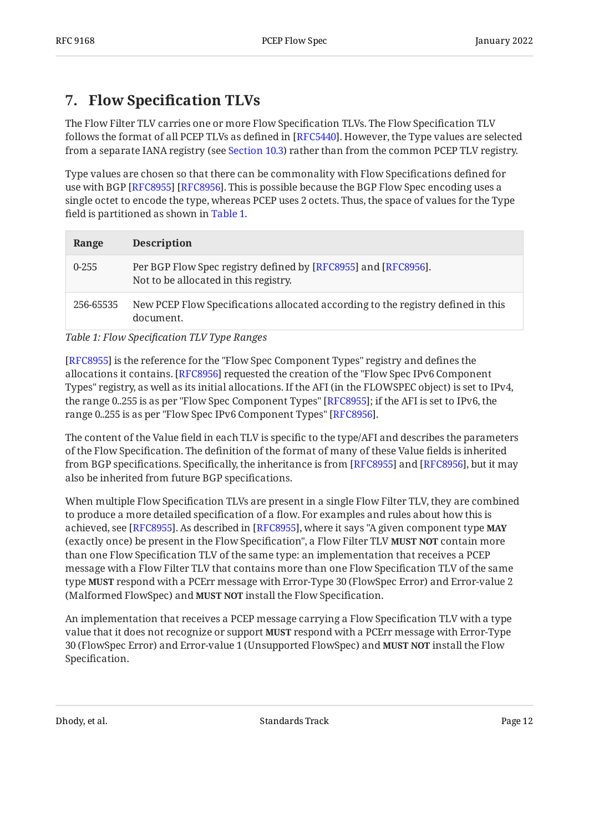# <span id="page-11-0"></span>**[7. F](#page-11-0)low Specifi[cation TLVs](#page-11-0)**

The Flow Filter TLV carries one or more Flow Specification TLVs. The Flow Specification TLV follows the format of all PCEP TLVs as defined in [[RFC5440\]](#page-24-4). However, the Type values are selected from a separate IANA registry (see [Section 10.3\)](#page-20-0) rather than from the common PCEP TLV registry.

Type values are chosen so that there can be commonality with Flow Specifications defined for use with BGP [RFC8955] [RFC8956]. This is possible because the BGP Flow Spec encoding uses a single octet to encode the type, whereas PCEP uses 2 octets. Thus, the space of values for the Type field is partitioned as shown in [Table 1.](#page-11-1)

<span id="page-11-1"></span>

| Range     | <b>Description</b>                                                                                      |
|-----------|---------------------------------------------------------------------------------------------------------|
| $0 - 255$ | Per BGP Flow Spec registry defined by [RFC8955] and [RFC8956].<br>Not to be allocated in this registry. |
| 256-65535 | New PCEP Flow Specifications allocated according to the registry defined in this<br>document.           |

*[Table 1:](#page-11-1) Flow Specifi[cation TLV Type Ranges](#page-11-1)* 

[[RFC8955\]](#page-25-3) is the reference for the "Flow Spec Component Types" registry and defines the allocations it contains. [RFC8956] requested the creation of the "Flow Spec IPv6 Component Types" registry, as well as its initial allocations. If the AFI (in the FLOWSPEC object) is set to IPv4, the range 0..255 is as per "Flow Spec Component Types" [RFC8955]; if the AFI is set to IPv6, the range 0..255 is as per "Flow Spec IPv6 Component Types" [[RFC8956\]](#page-25-7).

The content of the Value field in each TLV is specific to the type/AFI and describes the parameters of the Flow Specification. The definition of the format of many of these Value fields is inherited from BGP specifications. Specifically, the inheritance is from [[RFC8955\]](#page-25-3) and [\[RFC8956\]](#page-25-7), but it may also be inherited from future BGP specifications.

When multiple Flow Specification TLVs are present in a single Flow Filter TLV, they are combined to produce a more detailed specification of a flow. For examples and rules about how this is achieved, see [RFC8955]. As described in [RFC8955], where it says "A given component type **MAY** (exactly once) be present in the Flow Specification", a Flow Filter TLV **MUST NOT** contain more than one Flow Specification TLV of the same type: an implementation that receives a PCEP message with a Flow Filter TLV that contains more than one Flow Specification TLV of the same type **MUST** respond with a PCErr message with Error-Type 30 (FlowSpec Error) and Error-value 2 (Malformed FlowSpec) and **MUST NOT** install the Flow Specification.

An implementation that receives a PCEP message carrying a Flow Specification TLV with a type value that it does not recognize or support **MUST** respond with a PCErr message with Error-Type 30 (FlowSpec Error) and Error-value 1 (Unsupported FlowSpec) and **MUST NOT** install the Flow Specification.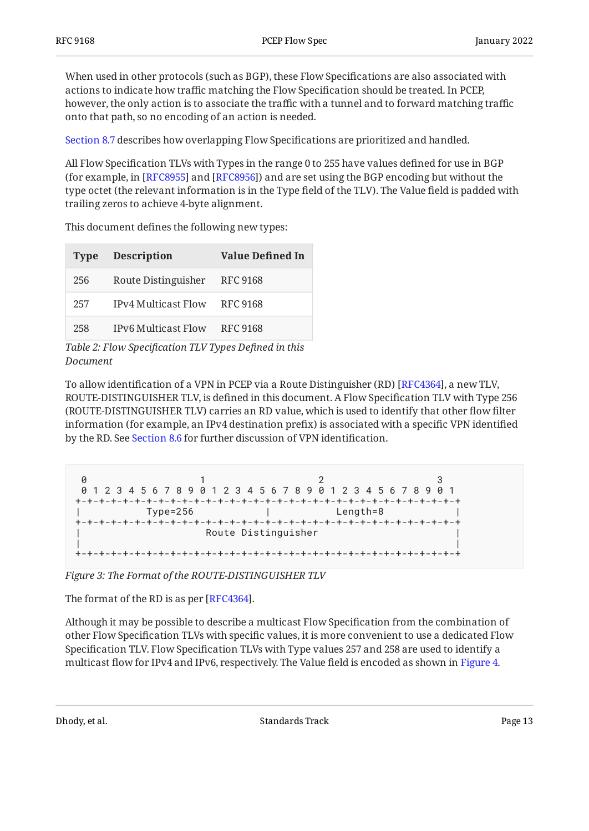When used in other protocols (such as BGP), these Flow Specifications are also associated with actions to indicate how traffic matching the Flow Specification should be treated. In PCEP, however, the only action is to associate the traffic with a tunnel and to forward matching traffic onto that path, so no encoding of an action is needed.

[Section 8.7](#page-15-1) describes how overlapping Flow Specifications are prioritized and handled.

All Flow Specification TLVs with Types in the range 0 to 255 have values defined for use in BGP (for example, in [RFC8955] and [RFC8956]) and are set using the BGP encoding but without the type octet (the relevant information is in the Type field of the TLV). The Value field is padded with trailing zeros to achieve 4-byte alignment.

<span id="page-12-0"></span>**Type Description Value Defined In**

This document defines the following new types:

|     | Type Description             | value Denneu III |
|-----|------------------------------|------------------|
| 256 | Route Distinguisher RFC 9168 |                  |
| 257 | IPv4 Multicast Flow RFC 9168 |                  |
| 258 | IPv6 Multicast Flow RFC 9168 |                  |

*[Table 2:](#page-12-0) Flow Specifi[cation TLV Types De](#page-12-0)fined in this [Document](#page-12-0)* 

To allow identification of a VPN in PCEP via a Route Distinguisher (RD) [[RFC4364\]](#page-24-9), a new TLV, ROUTE-DISTINGUISHER TLV, is defined in this document. A Flow Specification TLV with Type 256 (ROUTE-DISTINGUISHER TLV) carries an RD value, which is used to identify that other flow filter information (for example, an IPv4 destination prefix) is associated with a specific VPN identified by the RD. See [Section 8.6](#page-15-0) for further discussion of VPN identification.

<span id="page-12-1"></span>

|              | 0 1 2 3 4 5 6 7 8 9 0 1 2 3 4 5 6 7 8 9 0 1 2 3 4 5 6 7 8 9 0 1 |              |
|--------------|-----------------------------------------------------------------|--------------|
| $Type = 256$ |                                                                 | $Length = 8$ |
|              | Route Distinguisher                                             |              |
|              |                                                                 |              |

*[Figure 3: The Format of the ROUTE-DISTINGUISHER TLV](#page-12-1)* 

The format of the RD is as per  $[{\rm RFC4364}].$ 

Although it may be possible to describe a multicast Flow Specification from the combination of other Flow Specification TLVs with specific values, it is more convenient to use a dedicated Flow Specification TLV. Flow Specification TLVs with Type values 257 and 258 are used to identify a multicast flow for IPv4 and IPv6, respectively. The Value field is encoded as shown in [Figure 4.](#page-13-2)

<span id="page-12-2"></span>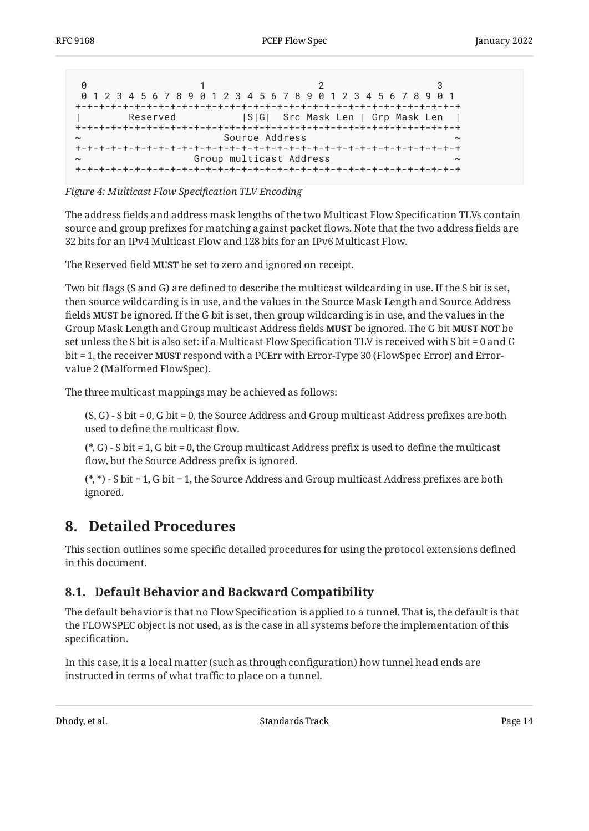<span id="page-13-2"></span>

| 0 1 2 3 4 5 6 7 8 9 0 1 2 3 4 5 6 7 8 9 0 1 2 3 4 5 6 7 8 9 0 1 |                                  |  |  |
|-----------------------------------------------------------------|----------------------------------|--|--|
|                                                                 |                                  |  |  |
| Reserved                                                        | S G  Src Mask Len   Grp Mask Len |  |  |
|                                                                 |                                  |  |  |
| Source Address<br>$\sim$                                        |                                  |  |  |
|                                                                 |                                  |  |  |
|                                                                 | Group multicast Address          |  |  |
|                                                                 |                                  |  |  |

*[Figure 4:](#page-13-2) [Multicast Flow Speci](#page-12-2)fication TLV Encoding* 

The address fields and address mask lengths of the two Multicast Flow Specification TLVs contain source and group prefixes for matching against packet flows. Note that the two address fields are 32 bits for an IPv4 Multicast Flow and 128 bits for an IPv6 Multicast Flow.

The Reserved field **MUST** be set to zero and ignored on receipt.

Two bit flags (S and G) are defined to describe the multicast wildcarding in use. If the S bit is set, then source wildcarding is in use, and the values in the Source Mask Length and Source Address fields be ignored. If the G bit is set, then group wildcarding is in use, and the values in the **MUST** Group Mask Length and Group multicast Address fields **MUST** be ignored. The G bit **MUST NOT** be set unless the S bit is also set: if a Multicast Flow Specification TLV is received with S bit = 0 and G bit = 1, the receiver **MUST** respond with a PCErr with Error-Type 30 (FlowSpec Error) and Errorvalue 2 (Malformed FlowSpec).

The three multicast mappings may be achieved as follows:

(S, G) - S bit = 0, G bit = 0, the Source Address and Group multicast Address prefixes are both used to define the multicast flow.

(\*, G) - S bit = 1, G bit = 0, the Group multicast Address prefix is used to define the multicast flow, but the Source Address prefix is ignored.

(\*, \*) - S bit = 1, G bit = 1, the Source Address and Group multicast Address prefixes are both ignored.

## <span id="page-13-0"></span>**[8. Detailed Procedures](#page-13-0)**

This section outlines some specific detailed procedures for using the protocol extensions defined in this document.

## <span id="page-13-1"></span>**[8.1. Default Behavior and Backward Compatibility](#page-13-1)**

The default behavior is that no Flow Specification is applied to a tunnel. That is, the default is that the FLOWSPEC object is not used, as is the case in all systems before the implementation of this specification.

In this case, it is a local matter (such as through configuration) how tunnel head ends are instructed in terms of what traffic to place on a tunnel.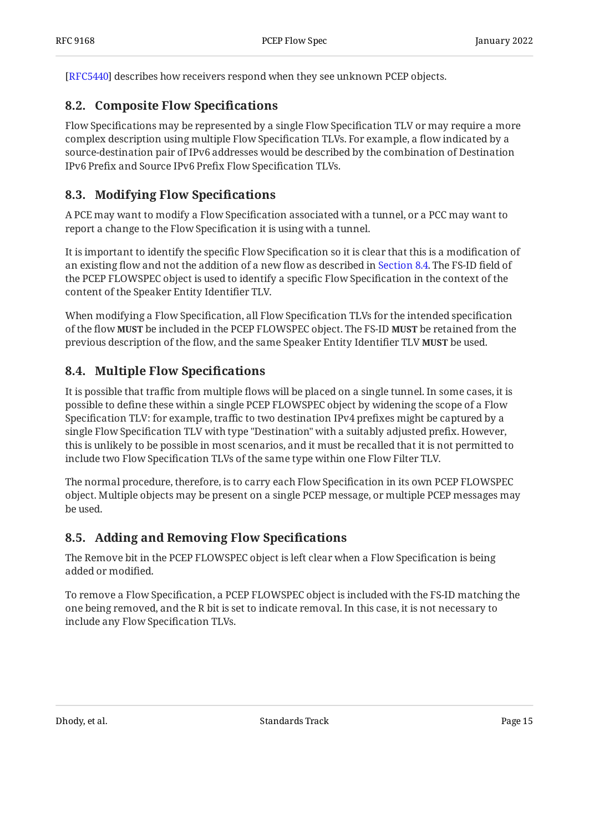<span id="page-14-0"></span>[[RFC5440\]](#page-24-4) describes how receivers respond when they see unknown PCEP objects.

### **[8.2. Composite Flow Speci](#page-14-0)fications**

Flow Specifications may be represented by a single Flow Specification TLV or may require a more complex description using multiple Flow Specification TLVs. For example, a flow indicated by a source-destination pair of IPv6 addresses would be described by the combination of Destination IPv6 Prefix and Source IPv6 Prefix Flow Specification TLVs.

### <span id="page-14-1"></span>**[8.3. Modifying Flow Speci](#page-14-1)fications**

A PCE may want to modify a Flow Specification associated with a tunnel, or a PCC may want to report a change to the Flow Specification it is using with a tunnel.

It is important to identify the specific Flow Specification so it is clear that this is a modification of an existing flow and not the addition of a new flow as described in [Section 8.4](#page-14-2). The FS-ID field of the PCEP FLOWSPEC object is used to identify a specific Flow Specification in the context of the content of the Speaker Entity Identifier TLV.

When modifying a Flow Specification, all Flow Specification TLVs for the intended specification of the flow **MUST** be included in the PCEP FLOWSPEC object. The FS-ID **MUST** be retained from the previous description of the flow, and the same Speaker Entity Identifier TLV **MUST** be used.

### <span id="page-14-2"></span>**[8.4. Multiple Flow Speci](#page-14-2)fications**

It is possible that traffic from multiple flows will be placed on a single tunnel. In some cases, it is possible to define these within a single PCEP FLOWSPEC object by widening the scope of a Flow Specification TLV: for example, traffic to two destination IPv4 prefixes might be captured by a single Flow Specification TLV with type "Destination" with a suitably adjusted prefix. However, this is unlikely to be possible in most scenarios, and it must be recalled that it is not permitted to include two Flow Specification TLVs of the same type within one Flow Filter TLV.

The normal procedure, therefore, is to carry each Flow Specification in its own PCEP FLOWSPEC object. Multiple objects may be present on a single PCEP message, or multiple PCEP messages may be used.

### <span id="page-14-3"></span>**[8.5. Adding and Removing Flow Speci](#page-14-3)fications**

The Remove bit in the PCEP FLOWSPEC object is left clear when a Flow Specification is being added or modified.

To remove a Flow Specification, a PCEP FLOWSPEC object is included with the FS-ID matching the one being removed, and the R bit is set to indicate removal. In this case, it is not necessary to include any Flow Specification TLVs.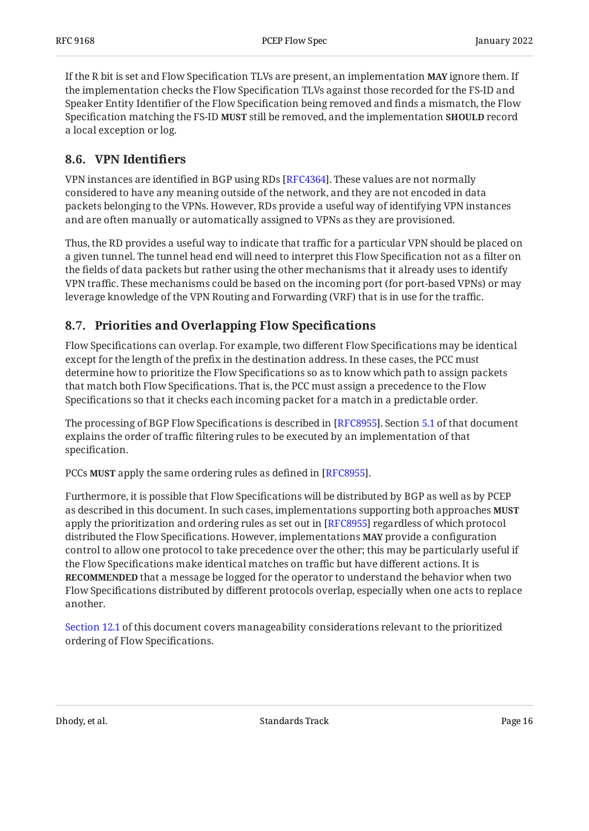If the R bit is set and Flow Specification TLVs are present, an implementation **MAY** ignore them. If the implementation checks the Flow Specification TLVs against those recorded for the FS-ID and Speaker Entity Identifier of the Flow Specification being removed and finds a mismatch, the Flow Specification matching the FS-ID **MUST** still be removed, and the implementation **SHOULD** record a local exception or log.

### <span id="page-15-0"></span>**[8.6. VPN Identi](#page-15-0)fiers**

VPN instances are identified in BGP using RDs [RFC4364]. These values are not normally considered to have any meaning outside of the network, and they are not encoded in data packets belonging to the VPNs. However, RDs provide a useful way of identifying VPN instances and are often manually or automatically assigned to VPNs as they are provisioned.

Thus, the RD provides a useful way to indicate that traffic for a particular VPN should be placed on a given tunnel. The tunnel head end will need to interpret this Flow Specification not as a filter on the fields of data packets but rather using the other mechanisms that it already uses to identify VPN traffic. These mechanisms could be based on the incoming port (for port-based VPNs) or may leverage knowledge of the VPN Routing and Forwarding (VRF) that is in use for the traffic.

### <span id="page-15-1"></span>**[8.7. Priorities and Overlapping Flow Speci](#page-15-1)fications**

Flow Specifications can overlap. For example, two different Flow Specifications may be identical except for the length of the prefix in the destination address. In these cases, the PCC must determine how to prioritize the Flow Specifications so as to know which path to assign packets that match both Flow Specifications. That is, the PCC must assign a precedence to the Flow Specifications so that it checks each incoming packet for a match in a predictable order.

The processing of BGP Flow Specifications is described in [RFC8955]. Section [5.1](https://www.rfc-editor.org/rfc/rfc8955#section-5.1) of that document explains the order of traffic filtering rules to be executed by an implementation of that specification.

PCCs **MUST** apply the same ordering rules as defined in [RFC8955].

Furthermore, it is possible that Flow Specifications will be distributed by BGP as well as by PCEP as described in this document. In such cases, implementations supporting both approaches **MUST** apply the prioritization and ordering rules as set out in [RFC8955] regardless of which protocol distributed the Flow Specifications. However, implementations MAY provide a configuration control to allow one protocol to take precedence over the other; this may be particularly useful if the Flow Specifications make identical matches on traffic but have different actions. It is **RECOMMENDED** that a message be logged for the operator to understand the behavior when two Flow Specifications distributed by different protocols overlap, especially when one acts to replace another.

[Section 12.1](#page-22-1) of this document covers manageability considerations relevant to the prioritized ordering of Flow Specifications.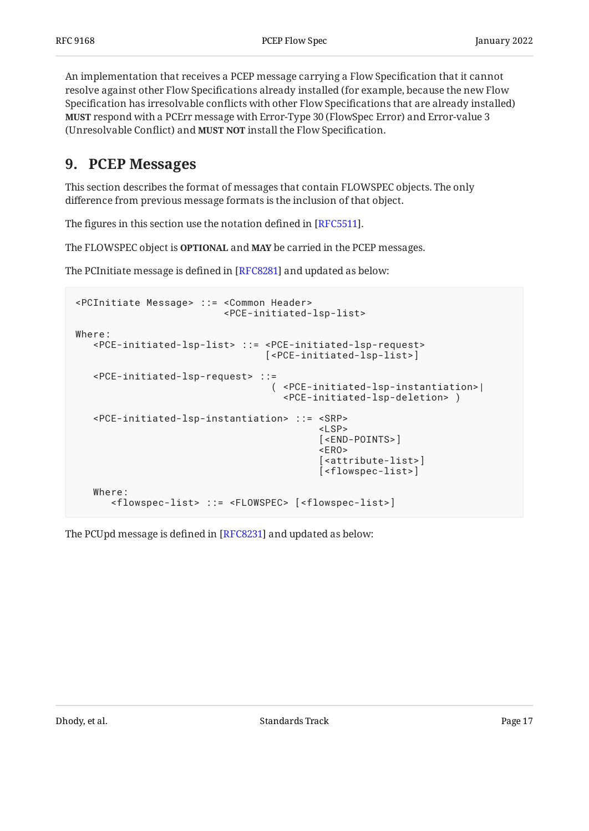An implementation that receives a PCEP message carrying a Flow Specification that it cannot resolve against other Flow Specifications already installed (for example, because the new Flow Specification has irresolvable conflicts with other Flow Specifications that are already installed) **MUST** respond with a PCErr message with Error-Type 30 (FlowSpec Error) and Error-value 3 (Unresolvable Conflict) and MUST NOT install the Flow Specification.

## <span id="page-16-0"></span>**[9. PCEP Messages](#page-16-0)**

This section describes the format of messages that contain FLOWSPEC objects. The only difference from previous message formats is the inclusion of that object.

The figures in this section use the notation defined in [RFC5511].  $\,$ 

The FLOWSPEC object is **OPTIONAL** and **MAY** be carried in the PCEP messages.

The PCInitiate message is defined in [RFC8281] and updated as below:

```
<PCInitiate Message> ::= <Common Header>
                                       <PCE-initiated-lsp-list>
Where:
     <PCE-initiated-lsp-list> ::= <PCE-initiated-lsp-request>
                                                  [<PCE-initiated-lsp-list>]
     <PCE-initiated-lsp-request> ::=
                                                    ( <PCE-initiated-lsp-instantiation>|
                                                       <PCE-initiated-lsp-deletion> )
     <PCE-initiated-lsp-instantiation> ::= <SRP>
with the contract of the contract of the contract of the contract of the contract of the contract of the contract of the contract of the contract of the contract of the contract of the contract of the contract of the contr
                                                                [<END-POINTS>]
ta de la construcción de la construcción de la construcción de la construcción de la construcción de la constru
                                                                [<attribute-list>]
                                                                [<flowspec-list>]
     Where:
          <flowspec-list> ::= <FLOWSPEC> [<flowspec-list>]
```
The PCUpd message is defined in [RFC8231] and updated as below: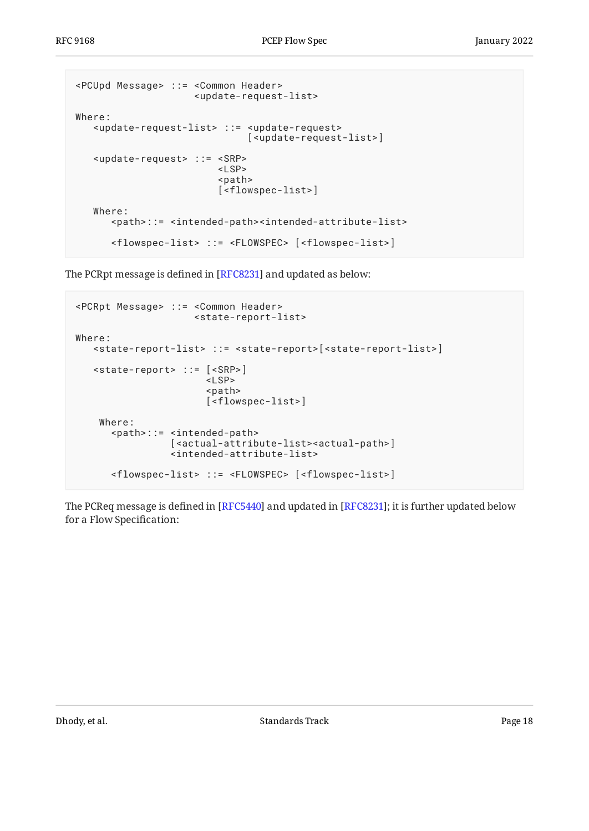```
<PCUpd Message> ::= <Common Header>
                      <update-request-list>
Where:
    <update-request-list> ::= <update-request>
                               [<update-request-list>]
    <update-request> ::= <SRP>
                         <LSP> <path>
                          [<flowspec-list>]
    Where:
       <path>::= <intended-path><intended-attribute-list>
       <flowspec-list> ::= <FLOWSPEC> [<flowspec-list>]
```
The PCRpt message is defined in [RFC8231] and updated as below:

```
<PCRpt Message> ::= <Common Header>
                     <state-report-list>
Where:
    <state-report-list> ::= <state-report>[<state-report-list>]
    <state-report> ::= [<SRP>]
                       <LSP> <path>
                        [<flowspec-list>]
     Where:
       <path>::= <intended-path>
                  [<actual-attribute-list><actual-path>]
                  <intended-attribute-list>
       <flowspec-list> ::= <FLOWSPEC> [<flowspec-list>]
```
The PCReq message is defined in [RFC5440] and updated in [RFC8231]; it is further updated below for a Flow Specification: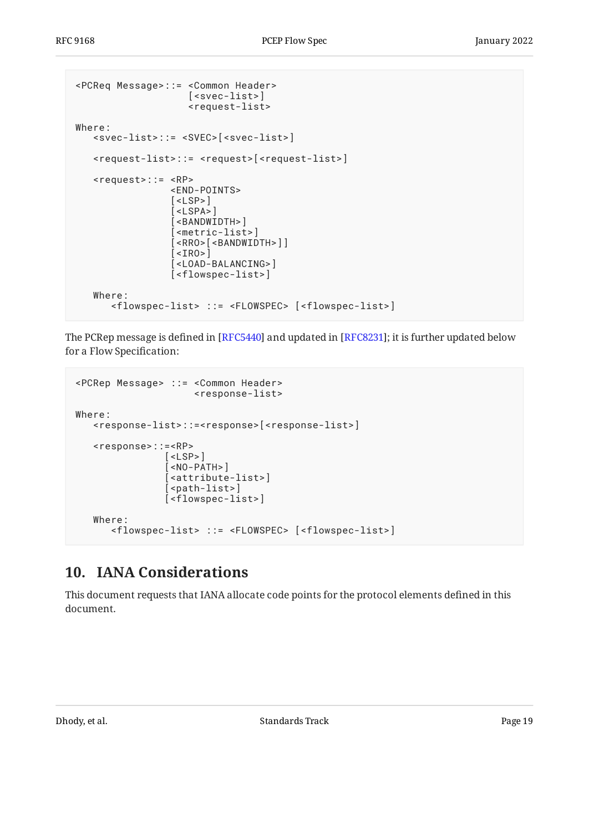```
<PCReq Message>::= <Common Header>
                         [<svec-list>]
                         <request-list>
Where:
    <svec-list>::= <SVEC>[<svec-list>]
    <request-list>::= <request>[<request-list>]
    <request>::= <RP>
                     <END-POINTS>
                    \lceil <LSP>\rceil\overline{\left[} <LSPA>\right]\overline{S} < BANDWIDTH> \overline{S} [<metric-list>]
                     [<RRO>[<BANDWIDTH>]]
                    \sqrt{25} [<LOAD-BALANCING>]
                     [<flowspec-list>]
    Where:
        <flowspec-list> ::= <FLOWSPEC> [<flowspec-list>]
```
The PCRep message is defined in [RFC5440] and updated in [RFC8231]; it is further updated below for a Flow Specification:

```
<PCRep Message> ::= <Common Header>
                       <response-list>
Where:
    <response-list>::=<response>[<response-list>]
    <response>::=<RP>
                 \lceil <LSP>\rceil [<NO-PATH>]
                  [<attribute-list>]
                 [<path-list>]
                  [<flowspec-list>]
    Where:
       <flowspec-list> ::= <FLOWSPEC> [<flowspec-list>]
```
## <span id="page-18-0"></span>**[10. IANA Considerations](#page-18-0)**

This document requests that IANA allocate code points for the protocol elements defined in this document.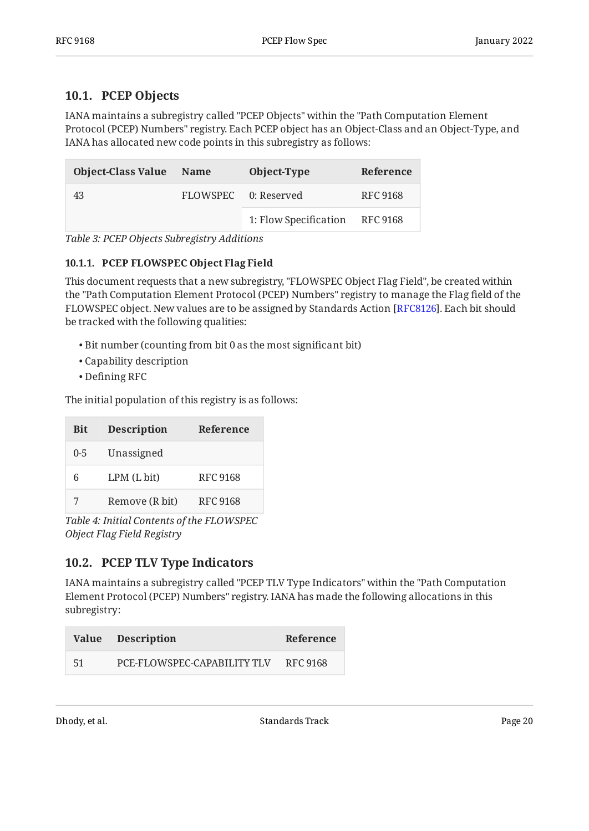### <span id="page-19-0"></span>**[10.1. PCEP Objects](#page-19-0)**

IANA maintains a subregistry called "PCEP Objects" within the "Path Computation Element Protocol (PCEP) Numbers" registry. Each PCEP object has an Object-Class and an Object-Type, and IANA has allocated new code points in this subregistry as follows:

<span id="page-19-3"></span>

| <b>Object-Class Value</b> | Name | Object-Type           | Reference |
|---------------------------|------|-----------------------|-----------|
| 43                        |      | FLOWSPEC 0: Reserved  | RFC 9168  |
|                           |      | 1: Flow Specification | RFC 9168  |

<span id="page-19-1"></span>*[Table 3: PCEP Objects Subregistry Additions](#page-19-3)* 

#### **[10.1.1. PCEP FLOWSPEC Object Flag Field](#page-19-1)**

This document requests that a new subregistry, "FLOWSPEC Object Flag Field", be created within the "Path Computation Element Protocol (PCEP) Numbers" registry to manage the Flag field of the FLOWSPEC object. New values are to be assigned by Standards Action [\[RFC8126\]](#page-26-5). Each bit should be tracked with the following qualities:

- Bit number (counting from bit 0 as the most significant bit) •
- Capability description •
- Defining RFC •

The initial population of this registry is as follows:

<span id="page-19-4"></span>

| <b>Bit</b> | <b>Description</b> | Reference       |
|------------|--------------------|-----------------|
| $0 - 5$    | Unassigned         |                 |
| 6          | LPM(Lbit)          | RFC 9168        |
| 7          | Remove (R bit)     | <b>RFC 9168</b> |

*[Table 4: Initial Contents of the FLOWSPEC](#page-19-4) [Object Flag Field Registry](#page-19-4)* 

### <span id="page-19-2"></span>**[10.2. PCEP TLV Type Indicators](#page-19-2)**

IANA maintains a subregistry called "PCEP TLV Type Indicators" within the "Path Computation Element Protocol (PCEP) Numbers" registry. IANA has made the following allocations in this subregistry:

<span id="page-19-5"></span>

|    | Value Description           | Reference |
|----|-----------------------------|-----------|
| 51 | PCE-FLOWSPEC-CAPABILITY TLV | RFC 9168  |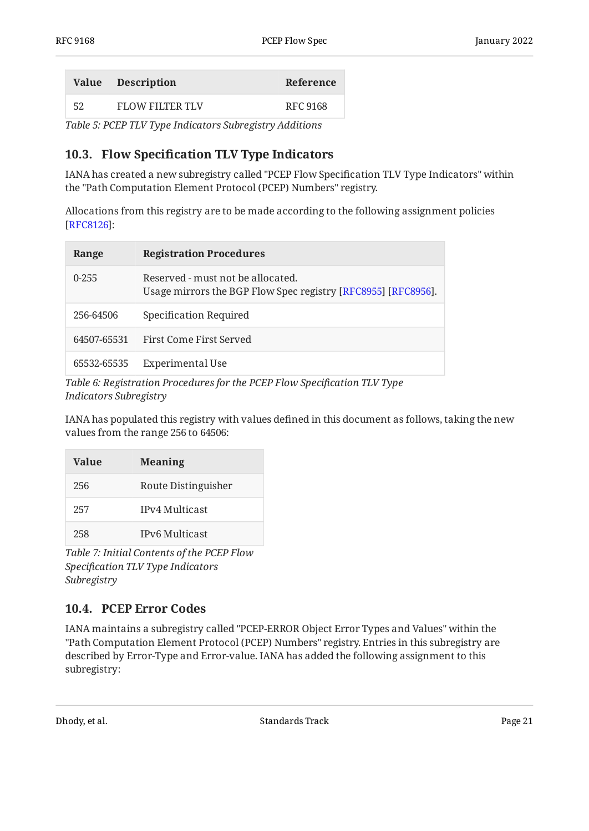|    | Value Description | Reference |
|----|-------------------|-----------|
| 52 | FLOW FILTER TLV   | RFC 9168  |

<span id="page-20-0"></span>*[Table 5: PCEP TLV Type Indicators Subregistry Additions](#page-19-5)* 

### **[10.3. F](#page-20-0)low Specifi[cation TLV Type Indicators](#page-20-0)**

IANA has created a new subregistry called "PCEP Flow Specification TLV Type Indicators" within the "Path Computation Element Protocol (PCEP) Numbers" registry.

Allocations from this registry are to be made according to the following assignment policies : [[RFC8126\]](#page-26-5)

<span id="page-20-2"></span>

| Range       | <b>Registration Procedures</b>                                                                     |
|-------------|----------------------------------------------------------------------------------------------------|
| $0 - 255$   | Reserved - must not be allocated.<br>Usage mirrors the BGP Flow Spec registry [RFC8955] [RFC8956]. |
| 256-64506   | Specification Required                                                                             |
| 64507-65531 | First Come First Served                                                                            |
| 65532-65535 | Experimental Use                                                                                   |

*[Table 6: Registration Procedures for the PCEP Flow Speci](#page-20-2)fication TLV Type [Indicators Subregistry](#page-20-2)* 

IANA has populated this registry with values defined in this document as follows, taking the new values from the range 256 to 64506:

<span id="page-20-3"></span>

| Value | <b>Meaning</b>      |
|-------|---------------------|
| 256   | Route Distinguisher |
| 257   | IPy4 Multicast      |
| 258   | IPv6 Multicast      |

*[Table 7: Initial Contents of the PCEP Flow](#page-20-3) Specifi[cation TLV Type Indicators](#page-20-3) [Subregistry](#page-20-3)* 

### <span id="page-20-1"></span>**[10.4. PCEP Error Codes](#page-20-1)**

IANA maintains a subregistry called "PCEP-ERROR Object Error Types and Values" within the "Path Computation Element Protocol (PCEP) Numbers" registry. Entries in this subregistry are described by Error-Type and Error-value. IANA has added the following assignment to this subregistry:

<span id="page-20-4"></span>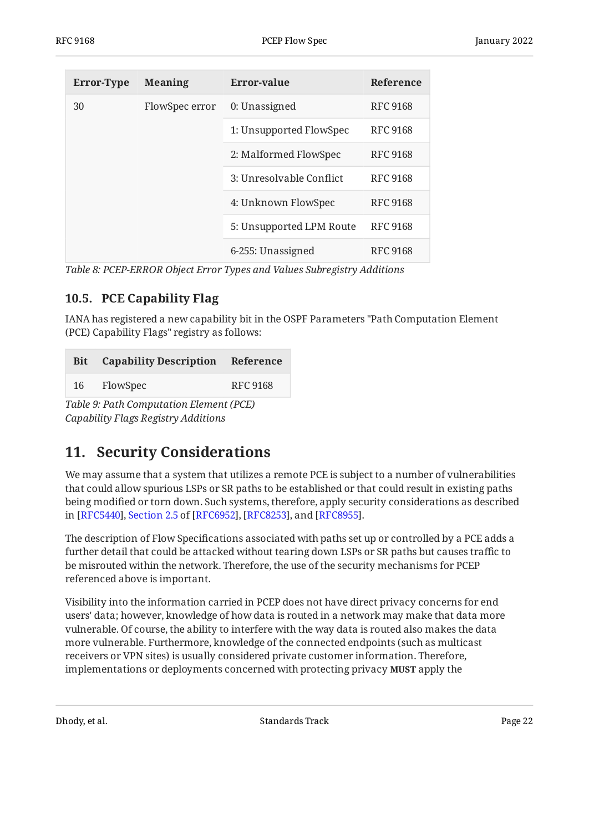<span id="page-21-2"></span>

| <b>Error-Type</b> | <b>Meaning</b> | Error-value              | Reference       |
|-------------------|----------------|--------------------------|-----------------|
| 30                | FlowSpec error | 0: Unassigned            | <b>RFC 9168</b> |
|                   |                | 1: Unsupported FlowSpec  | <b>RFC 9168</b> |
|                   |                | 2: Malformed FlowSpec    | <b>RFC 9168</b> |
|                   |                | 3: Unresolvable Conflict | <b>RFC 9168</b> |
|                   |                | 4: Unknown FlowSpec      | <b>RFC 9168</b> |
|                   |                | 5: Unsupported LPM Route | <b>RFC 9168</b> |
|                   |                | 6-255: Unassigned        | <b>RFC 9168</b> |

<span id="page-21-0"></span>*[Table 8:](#page-21-2) [PCEP-ERROR Object Error Types and Values Subregistry Additions](#page-20-4)* 

### **[10.5. PCE Capability Flag](#page-21-0)**

IANA has registered a new capability bit in the OSPF Parameters "Path Computation Element (PCE) Capability Flags" registry as follows:

<span id="page-21-3"></span>

|    | <b>Bit</b> Capability Description Reference |                 |
|----|---------------------------------------------|-----------------|
| 16 | FlowSpec                                    | <b>RFC 9168</b> |

<span id="page-21-1"></span>*[Table 9: Path Computation Element \(PCE\)](#page-21-3) [Capability Flags Registry Additions](#page-21-3)* 

# **[11. Security Considerations](#page-21-1)**

We may assume that a system that utilizes a remote PCE is subject to a number of vulnerabilities that could allow spurious LSPs or SR paths to be established or that could result in existing paths being modified or torn down. Such systems, therefore, apply security considerations as described in[[RFC5440\]](#page-24-4), Section 2.5 of [RFC6952], [RFC8253], and [RFC8955].

The description of Flow Specifications associated with paths set up or controlled by a PCE adds a further detail that could be attacked without tearing down LSPs or SR paths but causes traffic to be misrouted within the network. Therefore, the use of the security mechanisms for PCEP referenced above is important.

Visibility into the information carried in PCEP does not have direct privacy concerns for end users' data; however, knowledge of how data is routed in a network may make that data more vulnerable. Of course, the ability to interfere with the way data is routed also makes the data more vulnerable. Furthermore, knowledge of the connected endpoints (such as multicast receivers or VPN sites) is usually considered private customer information. Therefore, implementations or deployments concerned with protecting privacy apply the **MUST**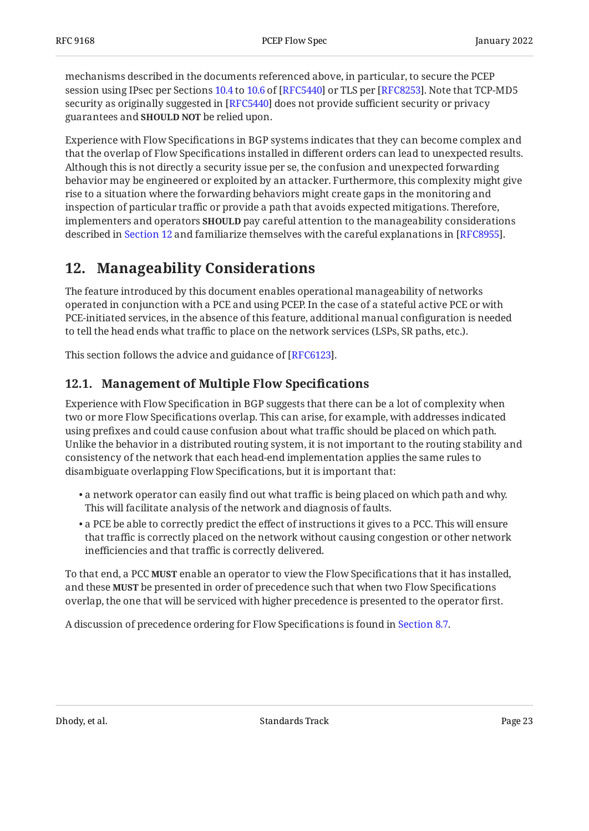mechanisms described in the documents referenced above, in particular, to secure the PCEP session using IPsec per Sections [10.4](https://www.rfc-editor.org/rfc/rfc5440#section-10.4) to [10.6](https://www.rfc-editor.org/rfc/rfc5440#section-10.6) of [RFC5440] or TLS per [RFC8253]. Note that TCP-MD5 security as originally suggested in [RFC5440] does not provide sufficient security or privacy guarantees and **SHOULD NOT** be relied upon.

Experience with Flow Specifications in BGP systems indicates that they can become complex and that the overlap of Flow Specifications installed in different orders can lead to unexpected results. Although this is not directly a security issue per se, the confusion and unexpected forwarding behavior may be engineered or exploited by an attacker. Furthermore, this complexity might give rise to a situation where the forwarding behaviors might create gaps in the monitoring and inspection of particular traffic or provide a path that avoids expected mitigations. Therefore, implementers and operators **SHOULD** pay careful attention to the manageability considerations described in [Section 12](#page-22-0) and familiarize themselves with the careful explanations in [RFC8955].

# <span id="page-22-0"></span>**[12. Manageability Considerations](#page-22-0)**

The feature introduced by this document enables operational manageability of networks operated in conjunction with a PCE and using PCEP. In the case of a stateful active PCE or with PCE-initiated services, in the absence of this feature, additional manual configuration is needed to tell the head ends what traffic to place on the network services (LSPs, SR paths, etc.).

<span id="page-22-1"></span>This section follows the advice and guidance of [[RFC6123\]](#page-26-7).

## **[12.1. Management of Multiple Flow Speci](#page-22-1)fications**

Experience with Flow Specification in BGP suggests that there can be a lot of complexity when two or more Flow Specifications overlap. This can arise, for example, with addresses indicated using prefixes and could cause confusion about what traffic should be placed on which path. Unlike the behavior in a distributed routing system, it is not important to the routing stability and consistency of the network that each head-end implementation applies the same rules to disambiguate overlapping Flow Specifications, but it is important that:

- $\bullet$  a network operator can easily find out what traffic is being placed on which path and why. This will facilitate analysis of the network and diagnosis of faults.
- $\bullet$  a PCE be able to correctly predict the effect of instructions it gives to a PCC. This will ensure that traffic is correctly placed on the network without causing congestion or other network inefficiencies and that traffic is correctly delivered.

To that end, a PCC **MUST** enable an operator to view the Flow Specifications that it has installed, and these **MUST** be presented in order of precedence such that when two Flow Specifications overlap, the one that will be serviced with higher precedence is presented to the operator first.

A discussion of precedence ordering for Flow Specifications is found in [Section 8.7.](#page-15-1)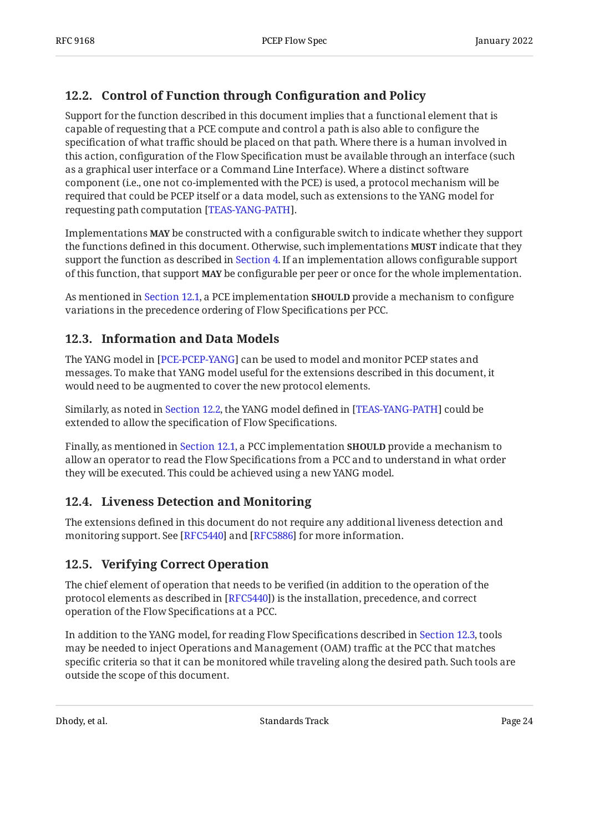## <span id="page-23-0"></span>[12.2. Control of Function through Con](#page-23-0)figuration and Policy

Support for the function described in this document implies that a functional element that is capable of requesting that a PCE compute and control a path is also able to configure the specification of what traffic should be placed on that path. Where there is a human involved in this action, configuration of the Flow Specification must be available through an interface (such as a graphical user interface or a Command Line Interface). Where a distinct software component (i.e., one not co-implemented with the PCE) is used, a protocol mechanism will be required that could be PCEP itself or a data model, such as extensions to the YANG model for requesting path computation [TEAS-YANG-PATH].

Implementations **MAY** be constructed with a configurable switch to indicate whether they support the functions defined in this document. Otherwise, such implementations **MUST** indicate that they support the function as described in [Section 4](#page-8-0). If an implementation allows configurable support of this function, that support **MAY** be configurable per peer or once for the whole implementation.

As mentioned in [Section 12.1,](#page-22-1) a PCE implementation **SHOULD** provide a mechanism to configure variations in the precedence ordering of Flow Specifications per PCC.

## <span id="page-23-1"></span>**[12.3. Information and Data Models](#page-23-1)**

The YANG model in [PCE-PCEP-YANG] can be used to model and monitor PCEP states and messages. To make that YANG model useful for the extensions described in this document, it would need to be augmented to cover the new protocol elements.

Similarly, as noted in [Section 12.2,](#page-23-0) the YANG model defined in [TEAS-YANG-PATH] could be extended to allow the specification of Flow Specifications.

Finally, as mentioned in [Section 12.1,](#page-22-1) a PCC implementation **SHOULD** provide a mechanism to allow an operator to read the Flow Specifications from a PCC and to understand in what order they will be executed. This could be achieved using a new YANG model.

### <span id="page-23-2"></span>**[12.4. Liveness Detection and Monitoring](#page-23-2)**

The extensions defined in this document do not require any additional liveness detection and monitoring support. See [RFC5440] and [RFC5886] for more information.

### <span id="page-23-3"></span>**[12.5. Verifying Correct Operation](#page-23-3)**

The chief element of operation that needs to be verified (in addition to the operation of the protocol elements as described in [[RFC5440\]](#page-24-4)) is the installation, precedence, and correct operation of the Flow Specifications at a PCC.

In addition to the YANG model, for reading Flow Specifications described in [Section 12.3,](#page-23-1) tools may be needed to inject Operations and Management (OAM) traffic at the PCC that matches specific criteria so that it can be monitored while traveling along the desired path. Such tools are outside the scope of this document.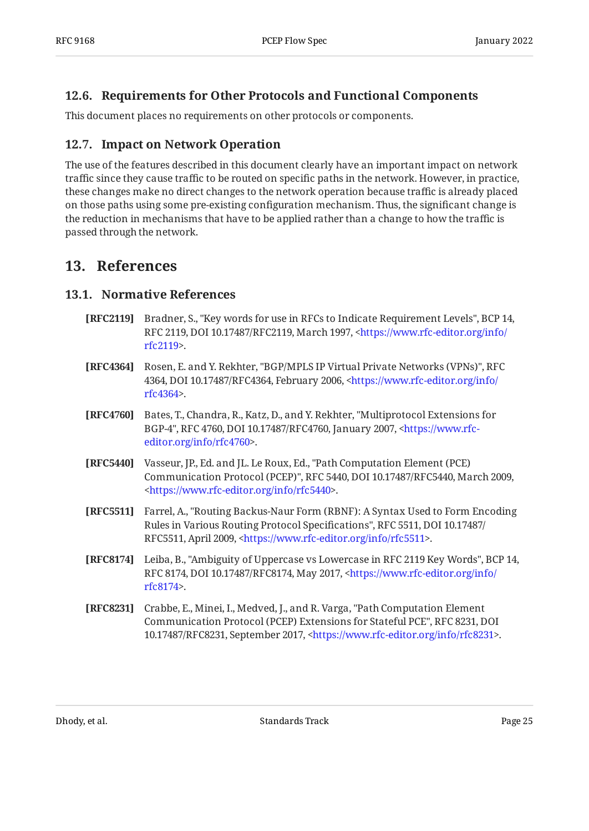### <span id="page-24-0"></span>**[12.6. Requirements for Other Protocols and Functional Components](#page-24-0)**

<span id="page-24-1"></span>This document places no requirements on other protocols or components.

### **[12.7. Impact on Network Operation](#page-24-1)**

The use of the features described in this document clearly have an important impact on network traffic since they cause traffic to be routed on specific paths in the network. However, in practice, these changes make no direct changes to the network operation because traffic is already placed on those paths using some pre-existing configuration mechanism. Thus, the significant change is the reduction in mechanisms that have to be applied rather than a change to how the traffic is passed through the network.

## <span id="page-24-3"></span><span id="page-24-2"></span>**[13. References](#page-24-2)**

#### **[13.1. Normative References](#page-24-3)**

- <span id="page-24-6"></span>**[RFC2119]** Bradner, S., "Key words for use in RFCs to Indicate Requirement Levels", BCP 14, RFC 2119, DOI 10.17487/RFC2119, March 1997, [<https://www.rfc-editor.org/info/](https://www.rfc-editor.org/info/rfc2119) . [rfc2119](https://www.rfc-editor.org/info/rfc2119)>
- <span id="page-24-9"></span>**[RFC4364]** Rosen, E. and Y. Rekhter, "BGP/MPLS IP Virtual Private Networks (VPNs)", RFC 4364, DOI 10.17487/RFC4364, February 2006, [<https://www.rfc-editor.org/info/](https://www.rfc-editor.org/info/rfc4364) . [rfc4364](https://www.rfc-editor.org/info/rfc4364)>
- <span id="page-24-8"></span>**[RFC4760]** Bates, T., Chandra, R., Katz, D., and Y. Rekhter, "Multiprotocol Extensions for BGP-4", RFC 4760, DOI 10.17487/RFC4760, January 2007, [<https://www.rfc-](https://www.rfc-editor.org/info/rfc4760). [editor.org/info/rfc4760](https://www.rfc-editor.org/info/rfc4760)>
- <span id="page-24-4"></span>**[RFC5440]** Vasseur, JP., Ed. and JL. Le Roux, Ed., "Path Computation Element (PCE) Communication Protocol (PCEP)", RFC 5440, DOI 10.17487/RFC5440, March 2009, . [<https://www.rfc-editor.org/info/rfc5440](https://www.rfc-editor.org/info/rfc5440)>
- <span id="page-24-10"></span>**[RFC5511]** , Farrel, A. "Routing Backus-Naur Form (RBNF): A Syntax Used to Form Encoding , , Rules in Various Routing Protocol Specifications" RFC 5511 DOI 10.17487/ RFC5511, April 2009, <https://www.rfc-editor.org/info/rfc5511>.
- <span id="page-24-7"></span>**[RFC8174]** Leiba, B., "Ambiguity of Uppercase vs Lowercase in RFC 2119 Key Words", BCP 14, RFC 8174, DOI 10.17487/RFC8174, May 2017, <[https://www.rfc-editor.org/info/](https://www.rfc-editor.org/info/rfc8174) . [rfc8174](https://www.rfc-editor.org/info/rfc8174)>
- <span id="page-24-5"></span>**[RFC8231]** Crabbe, E., Minei, I., Medved, J., and R. Varga, "Path Computation Element , , Communication Protocol (PCEP) Extensions for Stateful PCE" RFC 8231 DOI 10.17487/RFC8231, September 2017, <https://www.rfc-editor.org/info/rfc8231>.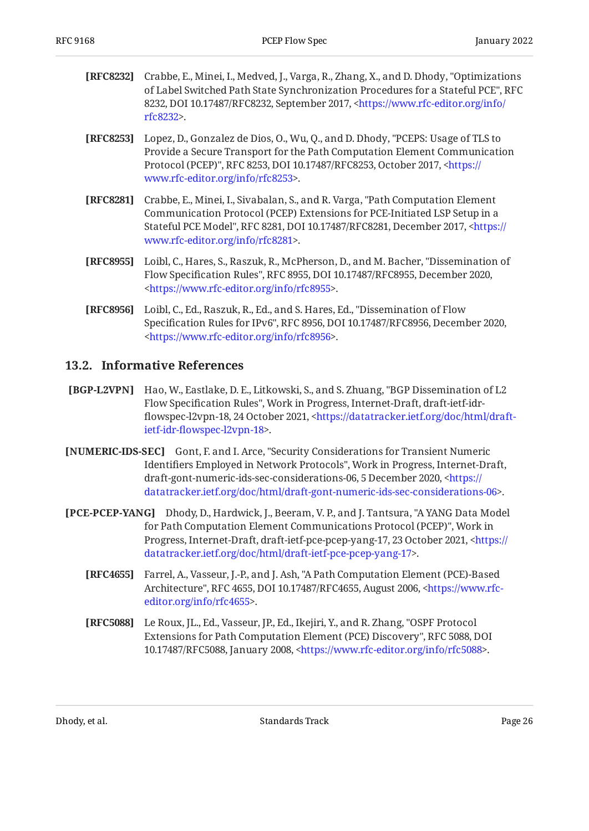<span id="page-25-5"></span>

| <b>[RFC8232]</b> Crabbe, E., Minei, I., Medved, J., Varga, R., Zhang, X., and D. Dhody, "Optimizations" |
|---------------------------------------------------------------------------------------------------------|
| of Label Switched Path State Synchronization Procedures for a Stateful PCE", RFC                        |
| 8232, DOI 10.17487/RFC8232, September 2017, <https: <="" info="" th="" www.rfc-editor.org=""></https:>  |
| rfc8232                                                                                                 |

- <span id="page-25-9"></span>**[RFC8253]** Lopez, D., Gonzalez de Dios, O., Wu, Q., and D. Dhody, "PCEPS: Usage of TLS to Protocol (PCEP)", RFC 8253, DOI 10.17487/RFC8253, October 2017, [<https://](https://www.rfc-editor.org/info/rfc8253) . [www.rfc-editor.org/info/rfc8253>](https://www.rfc-editor.org/info/rfc8253) Provide a Secure Transport for the Path Computation Element Communication
- <span id="page-25-2"></span>**[RFC8281]** Crabbe, E., Minei, I., Sivabalan, S., and R. Varga, "Path Computation Element Stateful PCE Model", RFC 8281, DOI 10.17487/RFC8281, December 2017, [<https://](https://www.rfc-editor.org/info/rfc8281) . [www.rfc-editor.org/info/rfc8281>](https://www.rfc-editor.org/info/rfc8281) Communication Protocol (PCEP) Extensions for PCE-Initiated LSP Setup in a
- <span id="page-25-3"></span>**[RFC8955]** Loibl, C., Hares, S., Raszuk, R., McPherson, D., and M. Bacher, "Dissemination of Flow Specification Rules", RFC 8955, DOI 10.17487/RFC8955, December 2020, . [<https://www.rfc-editor.org/info/rfc8955](https://www.rfc-editor.org/info/rfc8955)>
- <span id="page-25-7"></span>**[RFC8956]** Loibl, C., Ed., Raszuk, R., Ed., and S. Hares, Ed., "Dissemination of Flow Specification Rules for IPv6", RFC 8956, DOI 10.17487/RFC8956, December 2020, . [<https://www.rfc-editor.org/info/rfc8956](https://www.rfc-editor.org/info/rfc8956)>

#### <span id="page-25-0"></span>**[13.2. Informative References](#page-25-0)**

- <span id="page-25-8"></span>**[BGP-L2VPN]** Hao, W., Eastlake, D. E., Litkowski, S., and S. Zhuang, "BGP Dissemination of L2 Flow Specification Rules", Work in Progress, Internet-Draft, draft-ietf-idr-flowspec-l2vpn-18, 24 October 2021, [<https://datatracker.ietf.org/doc/html/draft-](https://datatracker.ietf.org/doc/html/draft-ietf-idr-flowspec-l2vpn-18). ietf-idr-fl[owspec-l2vpn-18>](https://datatracker.ietf.org/doc/html/draft-ietf-idr-flowspec-l2vpn-18)
- <span id="page-25-6"></span>**[NUMERIC-IDS-SEC]** Gont, F. and I. Arce, "Security Considerations for Transient Numeric Identifiers Employed in Network Protocols", Work in Progress, Internet-Draft, draft-gont-numeric-ids-sec-considerations-06, 5 December 2020, [<https://](https://datatracker.ietf.org/doc/html/draft-gont-numeric-ids-sec-considerations-06) . [datatracker.ietf.org/doc/html/draft-gont-numeric-ids-sec-considerations-06](https://datatracker.ietf.org/doc/html/draft-gont-numeric-ids-sec-considerations-06)>
- <span id="page-25-10"></span><span id="page-25-1"></span>**[PCE-PCEP-YANG]** Dhody, D., Hardwick, J., Beeram, V. P., and J. Tantsura, "A YANG Data Model for Path Computation Element Communications Protocol (PCEP)", Work in Progress, Internet-Draft, draft-ietf-pce-pcep-yang-17, 23 October 2021, [<https://](https://datatracker.ietf.org/doc/html/draft-ietf-pce-pcep-yang-17) . [datatracker.ietf.org/doc/html/draft-ietf-pce-pcep-yang-17>](https://datatracker.ietf.org/doc/html/draft-ietf-pce-pcep-yang-17)
	- **[RFC4655]** Farrel, A., Vasseur, J.-P., and J. Ash, "A Path Computation Element (PCE)-Based Architecture", RFC 4655, DOI 10.17487/RFC4655, August 2006, [<https://www.rfc-](https://www.rfc-editor.org/info/rfc4655). [editor.org/info/rfc4655](https://www.rfc-editor.org/info/rfc4655)>
	- **[RFC5088]** Le Roux, JL., Ed., Vasseur, JP., Ed., Ikejiri, Y., and R. Zhang, "OSPF Protocol Extensions for Path Computation Element (PCE) Discovery", RFC 5088, DOI 10.17487/RFC5088, January 2008, <https://www.rfc-editor.org/info/rfc5088>.

<span id="page-25-4"></span>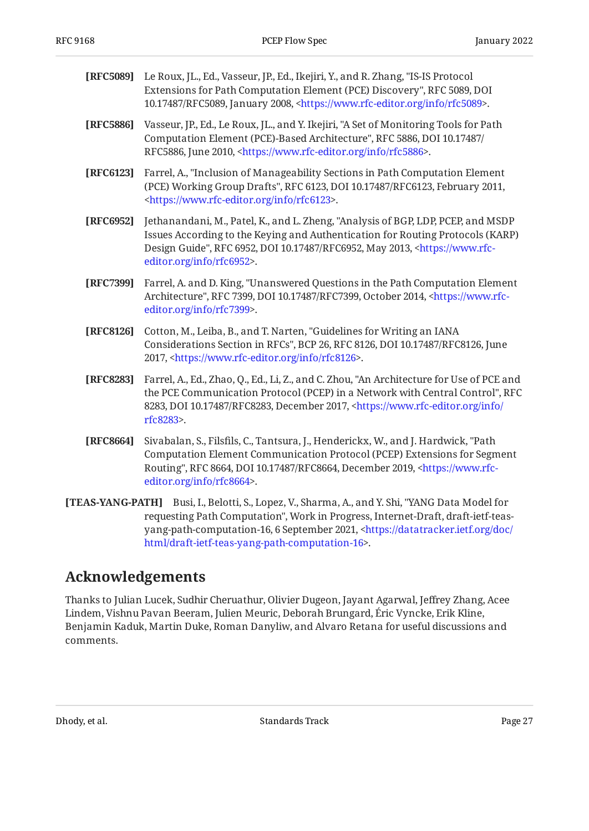<span id="page-26-9"></span><span id="page-26-7"></span><span id="page-26-6"></span><span id="page-26-4"></span>

| [RFC5089] | Le Roux, JL., Ed., Vasseur, JP., Ed., Ikejiri, Y., and R. Zhang, "IS-IS Protocol<br>Extensions for Path Computation Element (PCE) Discovery", RFC 5089, DOI<br>10.17487/RFC5089, January 2008, <https: info="" rfc5089="" www.rfc-editor.org="">.</https:>                                  |
|-----------|---------------------------------------------------------------------------------------------------------------------------------------------------------------------------------------------------------------------------------------------------------------------------------------------|
| [RFC5886] | Vasseur, JP., Ed., Le Roux, JL., and Y. Ikejiri, "A Set of Monitoring Tools for Path<br>Computation Element (PCE)-Based Architecture", RFC 5886, DOI 10.17487/<br>RFC5886, June 2010, <https: info="" rfc5886="" www.rfc-editor.org="">.</https:>                                           |
| [RFC6123] | Farrel, A., "Inclusion of Manageability Sections in Path Computation Element<br>(PCE) Working Group Drafts", RFC 6123, DOI 10.17487/RFC6123, February 2011,<br><https: info="" rfc6123="" www.rfc-editor.org="">.</https:>                                                                  |
| [RFC6952] | Jethanandani, M., Patel, K., and L. Zheng, "Analysis of BGP, LDP, PCEP, and MSDP<br>Issues According to the Keying and Authentication for Routing Protocols (KARP)<br>Design Guide", RFC 6952, DOI 10.17487/RFC6952, May 2013, <https: www.rfc-<br="">editor.org/info/rfc6952&gt;.</https:> |
| [RFC7399] | Farrel, A. and D. King, "Unanswered Questions in the Path Computation Element<br>Architecture", RFC 7399, DOI 10.17487/RFC7399, October 2014, <https: www.rfc-<br="">editor.org/info/rfc7399&gt;.</https:>                                                                                  |
| [RFC8126] | Cotton, M., Leiba, B., and T. Narten, "Guidelines for Writing an IANA<br>Considerations Section in RFCs", BCP 26, RFC 8126, DOI 10.17487/RFC8126, June<br>2017, <https: info="" rfc8126="" www.rfc-editor.org="">.</https:>                                                                 |
| [RFC8283] | Farrel, A., Ed., Zhao, Q., Ed., Li, Z., and C. Zhou, "An Architecture for Use of PCE and<br>the PCE Communication Protocol (PCEP) in a Network with Central Control". RFC                                                                                                                   |

- <span id="page-26-5"></span><span id="page-26-3"></span><span id="page-26-2"></span>, 8283, DOI 10.17487/RFC8283, December 2017, [<https://www.rfc-editor.org/info/](https://www.rfc-editor.org/info/rfc8283) . [rfc8283](https://www.rfc-editor.org/info/rfc8283)> the PCE Communication Protocol (PCEP) in a Network with Central Control", RFC
- <span id="page-26-1"></span>**[RFC8664]** Sivabalan, S., Filsfils, C., Tantsura, J., Henderickx, W., and J. Hardwick, "Path Routing", RFC 8664, DOI 10.17487/RFC8664, December 2019, [<https://www.rfc-](https://www.rfc-editor.org/info/rfc8664). [editor.org/info/rfc8664](https://www.rfc-editor.org/info/rfc8664)> Computation Element Communication Protocol (PCEP) Extensions for Segment
- <span id="page-26-8"></span>**[TEAS-YANG-PATH]** Busi, I., Belotti, S., Lopez, V., Sharma, A., and Y. Shi, "YANG Data Model for requesting Path Computation", Work in Progress, Internet-Draft, draft-ietf-teas-yang-path-computation-16, 6 September 2021, [<https://datatracker.ietf.org/doc/](https://datatracker.ietf.org/doc/html/draft-ietf-teas-yang-path-computation-16) . [html/draft-ietf-teas-yang-path-computation-16](https://datatracker.ietf.org/doc/html/draft-ietf-teas-yang-path-computation-16)>

## <span id="page-26-0"></span>**[Acknowledgements](#page-26-0)**

Thanks to Julian Lucek, Sudhir Cheruathur, Olivier Dugeon, Jayant Agarwal, Jeffrey Zhang, Acee Lindem, Vishnu Pavan Beeram, Julien Meuric, Deborah Brungard, Eric Vyncke, Erik Kline, Benjamin Kaduk, Martin Duke, Roman Danyliw, and Alvaro Retana for useful discussions and comments.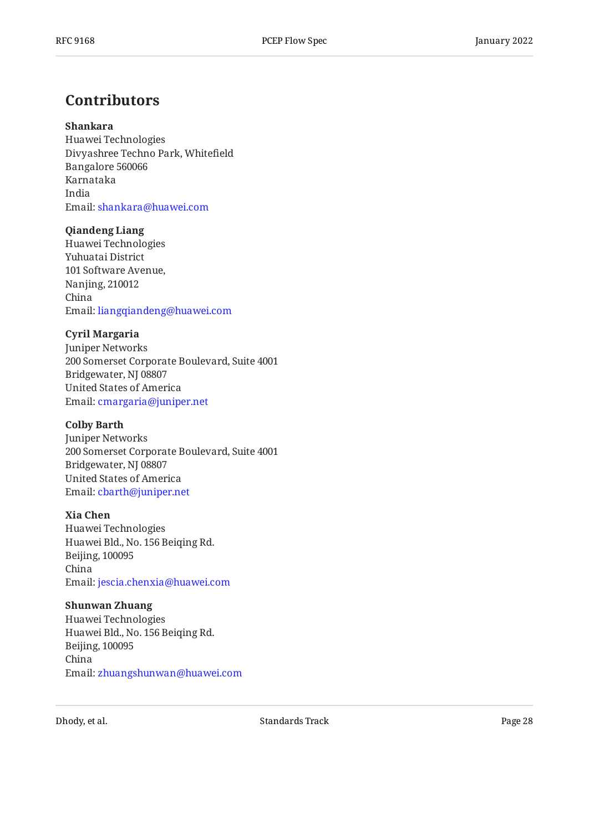## <span id="page-27-0"></span>**[Contributors](#page-27-0)**

#### **Shankara**

Huawei Technologies Divyashree Techno Park, Whitefield Bangalore 560066 Karnataka India Email: [shankara@huawei.com](mailto:shankara@huawei.com)

#### **Qiandeng Liang**

Huawei Technologies Yuhuatai District 101 Software Avenue, Nanjing, 210012 China Email: [liangqiandeng@huawei.com](mailto:liangqiandeng@huawei.com)

#### **Cyril Margaria**

Juniper Networks 200 Somerset Corporate Boulevard, Suite 4001 Bridgewater, NJ 08807 United States of America Email: [cmargaria@juniper.net](mailto:cmargaria@juniper.net)

#### **Colby Barth**

Juniper Networks 200 Somerset Corporate Boulevard, Suite 4001 Bridgewater, NJ 08807 United States of America Email: [cbarth@juniper.net](mailto:cbarth@juniper.net)

#### **Xia Chen**

Huawei Technologies Huawei Bld., No. 156 Beiqing Rd. Beijing, 100095 China Email: [jescia.chenxia@huawei.com](mailto:jescia.chenxia@huawei.com)

#### **Shunwan Zhuang**

Huawei Technologies Huawei Bld., No. 156 Beiqing Rd. Beijing, 100095 China Email: [zhuangshunwan@huawei.com](mailto:zhuangshunwan@huawei.com)